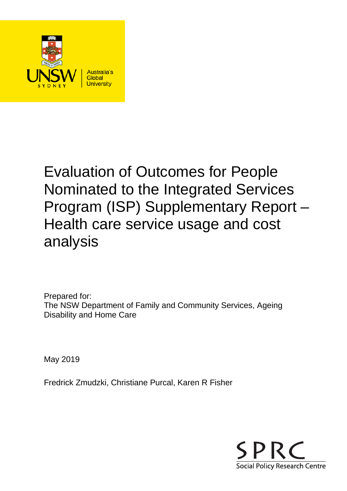

# Evaluation of Outcomes for People Nominated to the Integrated Services Program (ISP) Supplementary Report – Health care service usage and cost analysis

Prepared for: The NSW Department of Family and Community Services, Ageing Disability and Home Care

May 2019

Fredrick Zmudzki, Christiane Purcal, Karen R Fisher

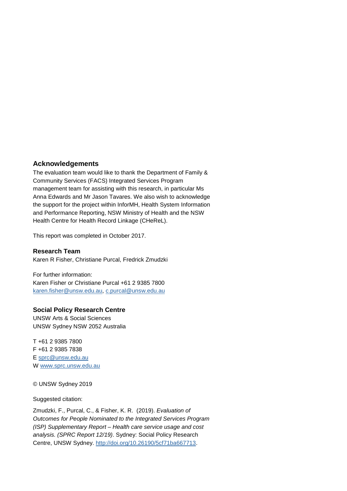### **Acknowledgements**

The evaluation team would like to thank the Department of Family & Community Services (FACS) Integrated Services Program management team for assisting with this research, in particular Ms Anna Edwards and Mr Jason Tavares. We also wish to acknowledge the support for the project within InforMH, Health System Information and Performance Reporting, NSW Ministry of Health and the NSW Health Centre for Health Record Linkage (CHeReL).

This report was completed in October 2017.

### **Research Team**

Karen R Fisher, Christiane Purcal, Fredrick Zmudzki

For further information: Karen Fisher or Christiane Purcal +61 2 9385 7800 [karen.fisher@unsw.edu.au,](mailto:karen.fisher@unsw.edu.au) [c.purcal@unsw.edu.au](mailto:c.purcal@unsw.edu.au)

### **Social Policy Research Centre**

UNSW Arts & Social Sciences UNSW Sydney NSW 2052 Australia

T +61 2 9385 7800 F +61 2 9385 7838 E [sprc@unsw.edu.au](mailto:sprc@unsw.edu.au) W [www.sprc.unsw.edu.au](http://www.sprc.unsw.edu.au/)

#### © UNSW Sydney 2019

Suggested citation:

Zmudzki, F., Purcal, C., & Fisher, K. R. (2019). *Evaluation of Outcomes for People Nominated to the Integrated Services Program (ISP) Supplementary Report – Health care service usage and cost analysis. (SPRC Report 12/19)*. Sydney: Social Policy Research Centre, UNSW Sydney. [http://doi.org/10.26190/5cf71ba667713.](http://doi.org/10.26190/5cf71ba667713)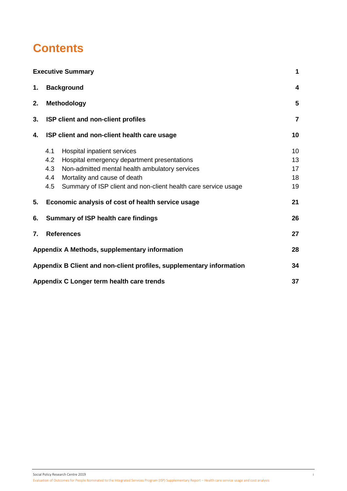# **Contents**

|    | <b>Executive Summary</b>                                              | 1              |
|----|-----------------------------------------------------------------------|----------------|
| 1. | <b>Background</b>                                                     | 4              |
| 2. | Methodology                                                           | 5              |
| 3. | ISP client and non-client profiles                                    | $\overline{7}$ |
| 4. | ISP client and non-client health care usage                           | 10             |
|    | Hospital inpatient services<br>4.1                                    | 10             |
|    | 4.2<br>Hospital emergency department presentations                    | 13             |
|    | 4.3<br>Non-admitted mental health ambulatory services                 | 17             |
|    | 4.4<br>Mortality and cause of death                                   | 18             |
|    | 4.5<br>Summary of ISP client and non-client health care service usage | 19             |
| 5. | Economic analysis of cost of health service usage                     | 21             |
| 6. | <b>Summary of ISP health care findings</b>                            | 26             |
| 7. | <b>References</b>                                                     | 27             |
|    | Appendix A Methods, supplementary information                         | 28             |
|    | Appendix B Client and non-client profiles, supplementary information  | 34             |
|    | Appendix C Longer term health care trends                             | 37             |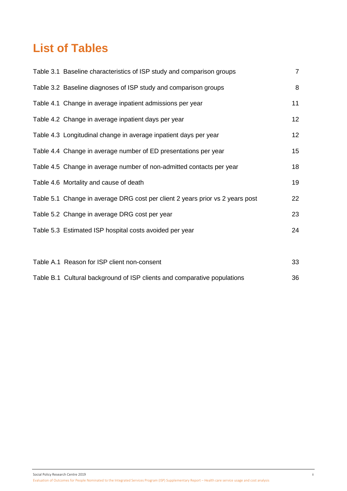# **List of Tables**

| Table 3.1 Baseline characteristics of ISP study and comparison groups         | $\overline{7}$   |
|-------------------------------------------------------------------------------|------------------|
| Table 3.2 Baseline diagnoses of ISP study and comparison groups               | 8                |
| Table 4.1 Change in average inpatient admissions per year                     | 11               |
| Table 4.2 Change in average inpatient days per year                           | 12               |
| Table 4.3 Longitudinal change in average inpatient days per year              | 12               |
| Table 4.4 Change in average number of ED presentations per year               | 15 <sub>15</sub> |
| Table 4.5 Change in average number of non-admitted contacts per year          | 18               |
| Table 4.6 Mortality and cause of death                                        | 19               |
| Table 5.1 Change in average DRG cost per client 2 years prior vs 2 years post | 22               |
| Table 5.2 Change in average DRG cost per year                                 | 23               |
| Table 5.3 Estimated ISP hospital costs avoided per year                       | 24               |
|                                                                               |                  |
| Table A.1 Reason for ISP client non-consent                                   | 33               |
| Table B.1 Cultural background of ISP clients and comparative populations      | 36               |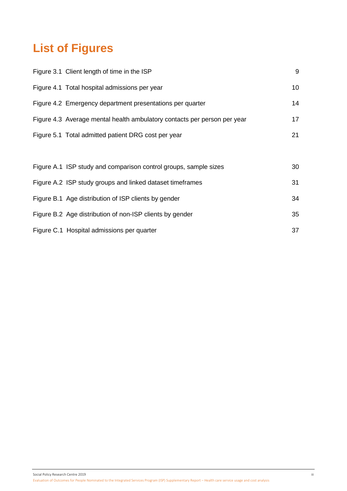# **List of Figures**

| Figure 3.1 Client length of time in the ISP                              | 9  |
|--------------------------------------------------------------------------|----|
| Figure 4.1 Total hospital admissions per year                            | 10 |
| Figure 4.2 Emergency department presentations per quarter                | 14 |
| Figure 4.3 Average mental health ambulatory contacts per person per year | 17 |
| Figure 5.1 Total admitted patient DRG cost per year                      | 21 |
|                                                                          |    |
| Figure A.1 ISP study and comparison control groups, sample sizes         | 30 |
| Figure A.2 ISP study groups and linked dataset timeframes                | 31 |
| Figure B.1 Age distribution of ISP clients by gender                     | 34 |
| Figure B.2 Age distribution of non-ISP clients by gender                 | 35 |
| Figure C.1 Hospital admissions per quarter                               | 37 |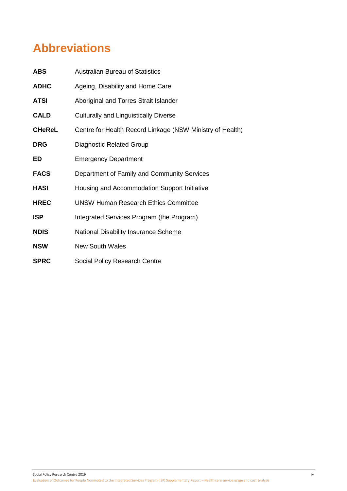# **Abbreviations**

| <b>ABS</b>    | <b>Australian Bureau of Statistics</b>                    |
|---------------|-----------------------------------------------------------|
| <b>ADHC</b>   | Ageing, Disability and Home Care                          |
| <b>ATSI</b>   | Aboriginal and Torres Strait Islander                     |
| <b>CALD</b>   | <b>Culturally and Linguistically Diverse</b>              |
| <b>CHeReL</b> | Centre for Health Record Linkage (NSW Ministry of Health) |
| <b>DRG</b>    | <b>Diagnostic Related Group</b>                           |
| ED            | <b>Emergency Department</b>                               |
| <b>FACS</b>   | Department of Family and Community Services               |
| <b>HASI</b>   | Housing and Accommodation Support Initiative              |
| <b>HREC</b>   | <b>UNSW Human Research Ethics Committee</b>               |
| <b>ISP</b>    | Integrated Services Program (the Program)                 |
| <b>NDIS</b>   | National Disability Insurance Scheme                      |
| <b>NSW</b>    | <b>New South Wales</b>                                    |
| <b>SPRC</b>   | Social Policy Research Centre                             |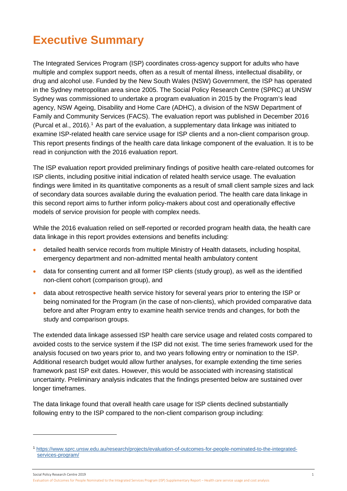# <span id="page-6-0"></span>**Executive Summary**

The Integrated Services Program (ISP) coordinates cross-agency support for adults who have multiple and complex support needs, often as a result of mental illness, intellectual disability, or drug and alcohol use. Funded by the New South Wales (NSW) Government, the ISP has operated in the Sydney metropolitan area since 2005. The Social Policy Research Centre (SPRC) at UNSW Sydney was commissioned to undertake a program evaluation in 2015 by the Program's lead agency, NSW Ageing, Disability and Home Care (ADHC), a division of the NSW Department of Family and Community Services (FACS). The evaluation report was published in December 2016 (Purcal et al., 20[1](#page-6-1)6).<sup>1</sup> As part of the evaluation, a supplementary data linkage was initiated to examine ISP-related health care service usage for ISP clients and a non-client comparison group. This report presents findings of the health care data linkage component of the evaluation. It is to be read in conjunction with the 2016 evaluation report.

The ISP evaluation report provided preliminary findings of positive health care-related outcomes for ISP clients, including positive initial indication of related health service usage. The evaluation findings were limited in its quantitative components as a result of small client sample sizes and lack of secondary data sources available during the evaluation period. The health care data linkage in this second report aims to further inform policy-makers about cost and operationally effective models of service provision for people with complex needs.

While the 2016 evaluation relied on self-reported or recorded program health data, the health care data linkage in this report provides extensions and benefits including:

- detailed health service records from multiple Ministry of Health datasets, including hospital, emergency department and non-admitted mental health ambulatory content
- data for consenting current and all former ISP clients (study group), as well as the identified non-client cohort (comparison group), and
- data about retrospective health service history for several years prior to entering the ISP or being nominated for the Program (in the case of non-clients), which provided comparative data before and after Program entry to examine health service trends and changes, for both the study and comparison groups.

The extended data linkage assessed ISP health care service usage and related costs compared to avoided costs to the service system if the ISP did not exist. The time series framework used for the analysis focused on two years prior to, and two years following entry or nomination to the ISP. Additional research budget would allow further analyses, for example extending the time series framework past ISP exit dates. However, this would be associated with increasing statistical uncertainty. Preliminary analysis indicates that the findings presented below are sustained over longer timeframes.

The data linkage found that overall health care usage for ISP clients declined substantially following entry to the ISP compared to the non-client comparison group including:

-

<span id="page-6-1"></span><sup>1</sup> [https://www.sprc.unsw.edu.au/research/projects/evaluation-of-outcomes-for-people-nominated-to-the-integrated](https://www.sprc.unsw.edu.au/research/projects/evaluation-of-outcomes-for-people-nominated-to-the-integrated-services-program/)[services-program/](https://www.sprc.unsw.edu.au/research/projects/evaluation-of-outcomes-for-people-nominated-to-the-integrated-services-program/)

Social Policy Research Centre 2019 1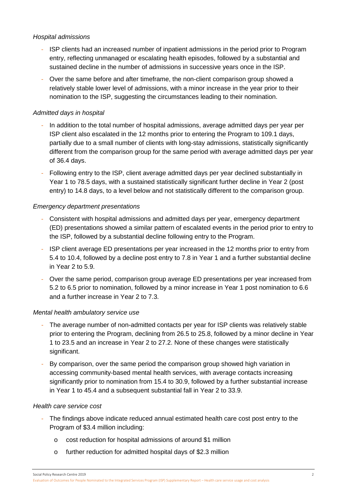### *Hospital admissions*

- ISP clients had an increased number of inpatient admissions in the period prior to Program entry, reflecting unmanaged or escalating health episodes, followed by a substantial and sustained decline in the number of admissions in successive years once in the ISP.
- Over the same before and after timeframe, the non-client comparison group showed a relatively stable lower level of admissions, with a minor increase in the year prior to their nomination to the ISP, suggesting the circumstances leading to their nomination.

### *Admitted days in hospital*

- In addition to the total number of hospital admissions, average admitted days per year per ISP client also escalated in the 12 months prior to entering the Program to 109.1 days, partially due to a small number of clients with long-stay admissions, statistically significantly different from the comparison group for the same period with average admitted days per year of 36.4 days.
- Following entry to the ISP, client average admitted days per year declined substantially in Year 1 to 78.5 days, with a sustained statistically significant further decline in Year 2 (post entry) to 14.8 days, to a level below and not statistically different to the comparison group.

### *Emergency department presentations*

- Consistent with hospital admissions and admitted days per year, emergency department (ED) presentations showed a similar pattern of escalated events in the period prior to entry to the ISP, followed by a substantial decline following entry to the Program.
- ISP client average ED presentations per year increased in the 12 months prior to entry from 5.4 to 10.4, followed by a decline post entry to 7.8 in Year 1 and a further substantial decline in Year 2 to 5.9.
- Over the same period, comparison group average ED presentations per year increased from 5.2 to 6.5 prior to nomination, followed by a minor increase in Year 1 post nomination to 6.6 and a further increase in Year 2 to 7.3.

### *Mental health ambulatory service use*

- The average number of non-admitted contacts per year for ISP clients was relatively stable prior to entering the Program, declining from 26.5 to 25.8, followed by a minor decline in Year 1 to 23.5 and an increase in Year 2 to 27.2. None of these changes were statistically significant.
- By comparison, over the same period the comparison group showed high variation in accessing community-based mental health services, with average contacts increasing significantly prior to nomination from 15.4 to 30.9, followed by a further substantial increase in Year 1 to 45.4 and a subsequent substantial fall in Year 2 to 33.9.

### *Health care service cost*

- The findings above indicate reduced annual estimated health care cost post entry to the Program of \$3.4 million including:
	- o cost reduction for hospital admissions of around \$1 million
	- o further reduction for admitted hospital days of \$2.3 million

Social Policy Research Centre 2019 2

Evaluation of Outcomes for People Nominated to the Integrated Services Program (ISP) Supplementary Report – Health care service usage and cost analysis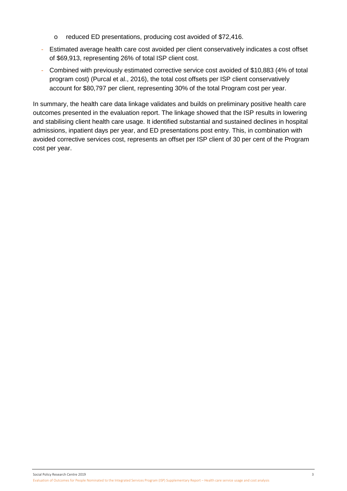- o reduced ED presentations, producing cost avoided of \$72,416.
- Estimated average health care cost avoided per client conservatively indicates a cost offset of \$69,913, representing 26% of total ISP client cost.
- Combined with previously estimated corrective service cost avoided of \$10,883 (4% of total program cost) (Purcal et al., 2016), the total cost offsets per ISP client conservatively account for \$80,797 per client, representing 30% of the total Program cost per year.

In summary, the health care data linkage validates and builds on preliminary positive health care outcomes presented in the evaluation report. The linkage showed that the ISP results in lowering and stabilising client health care usage. It identified substantial and sustained declines in hospital admissions, inpatient days per year, and ED presentations post entry. This, in combination with avoided corrective services cost, represents an offset per ISP client of 30 per cent of the Program cost per year.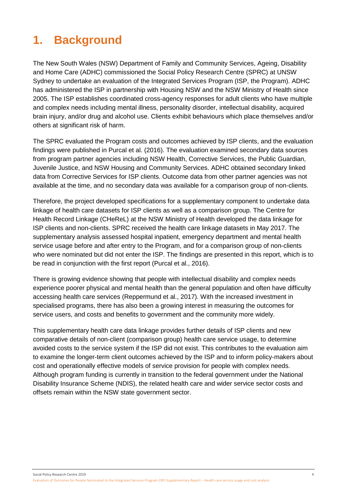# <span id="page-9-0"></span>**1. Background**

The New South Wales (NSW) Department of Family and Community Services, Ageing, Disability and Home Care (ADHC) commissioned the Social Policy Research Centre (SPRC) at UNSW Sydney to undertake an evaluation of the Integrated Services Program (ISP, the Program). ADHC has administered the ISP in partnership with Housing NSW and the NSW Ministry of Health since 2005. The ISP establishes coordinated cross-agency responses for adult clients who have multiple and complex needs including mental illness, personality disorder, intellectual disability, acquired brain injury, and/or drug and alcohol use. Clients exhibit behaviours which place themselves and/or others at significant risk of harm.

The SPRC evaluated the Program costs and outcomes achieved by ISP clients, and the evaluation findings were published in Purcal et al. (2016). The evaluation examined secondary data sources from program partner agencies including NSW Health, Corrective Services, the Public Guardian, Juvenile Justice, and NSW Housing and Community Services. ADHC obtained secondary linked data from Corrective Services for ISP clients. Outcome data from other partner agencies was not available at the time, and no secondary data was available for a comparison group of non-clients.

Therefore, the project developed specifications for a supplementary component to undertake data linkage of health care datasets for ISP clients as well as a comparison group. The Centre for Health Record Linkage (CHeReL) at the NSW Ministry of Health developed the data linkage for ISP clients and non-clients. SPRC received the health care linkage datasets in May 2017. The supplementary analysis assessed hospital inpatient, emergency department and mental health service usage before and after entry to the Program, and for a comparison group of non-clients who were nominated but did not enter the ISP. The findings are presented in this report, which is to be read in conjunction with the first report (Purcal et al., 2016).

There is growing evidence showing that people with intellectual disability and complex needs experience poorer physical and mental health than the general population and often have difficulty accessing health care services (Reppermund et al., 2017). With the increased investment in specialised programs, there has also been a growing interest in measuring the outcomes for service users, and costs and benefits to government and the community more widely.

This supplementary health care data linkage provides further details of ISP clients and new comparative details of non-client (comparison group) health care service usage, to determine avoided costs to the service system if the ISP did not exist. This contributes to the evaluation aim to examine the longer-term client outcomes achieved by the ISP and to inform policy-makers about cost and operationally effective models of service provision for people with complex needs. Although program funding is currently in transition to the federal government under the National Disability Insurance Scheme (NDIS), the related health care and wider service sector costs and offsets remain within the NSW state government sector.

Social Policy Research Centre 2019 4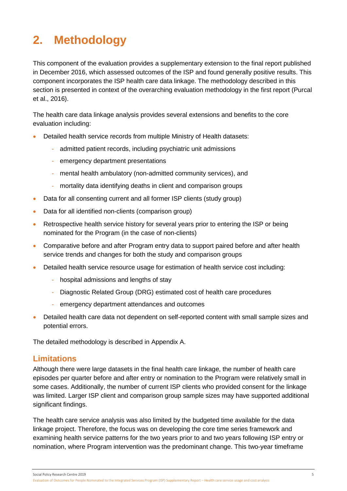# <span id="page-10-0"></span>**2. Methodology**

This component of the evaluation provides a supplementary extension to the final report published in December 2016, which assessed outcomes of the ISP and found generally positive results. This component incorporates the ISP health care data linkage. The methodology described in this section is presented in context of the overarching evaluation methodology in the first report (Purcal et al., 2016).

The health care data linkage analysis provides several extensions and benefits to the core evaluation including:

- Detailed health service records from multiple Ministry of Health datasets:
	- admitted patient records, including psychiatric unit admissions
	- emergency department presentations
	- mental health ambulatory (non-admitted community services), and
	- mortality data identifying deaths in client and comparison groups
- Data for all consenting current and all former ISP clients (study group)
- Data for all identified non-clients (comparison group)
- Retrospective health service history for several years prior to entering the ISP or being nominated for the Program (in the case of non-clients)
- Comparative before and after Program entry data to support paired before and after health service trends and changes for both the study and comparison groups
- Detailed health service resource usage for estimation of health service cost including:
	- hospital admissions and lengths of stay
	- Diagnostic Related Group (DRG) estimated cost of health care procedures
	- emergency department attendances and outcomes
- Detailed health care data not dependent on self-reported content with small sample sizes and potential errors.

The detailed methodology is described in Appendix A.

## **Limitations**

Although there were large datasets in the final health care linkage, the number of health care episodes per quarter before and after entry or nomination to the Program were relatively small in some cases. Additionally, the number of current ISP clients who provided consent for the linkage was limited. Larger ISP client and comparison group sample sizes may have supported additional significant findings.

The health care service analysis was also limited by the budgeted time available for the data linkage project. Therefore, the focus was on developing the core time series framework and examining health service patterns for the two years prior to and two years following ISP entry or nomination, where Program intervention was the predominant change. This two-year timeframe

Social Policy Research Centre 2019 5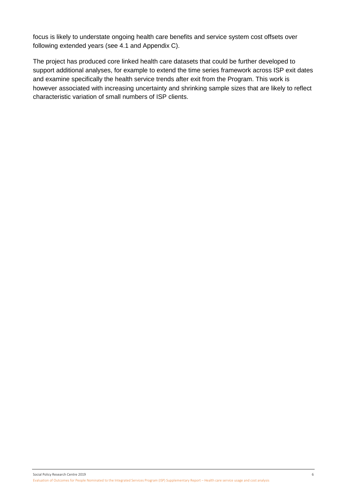focus is likely to understate ongoing health care benefits and service system cost offsets over following extended years (see 4.1 and Appendix C).

The project has produced core linked health care datasets that could be further developed to support additional analyses, for example to extend the time series framework across ISP exit dates and examine specifically the health service trends after exit from the Program. This work is however associated with increasing uncertainty and shrinking sample sizes that are likely to reflect characteristic variation of small numbers of ISP clients.

Social Policy Research Centre 2019 6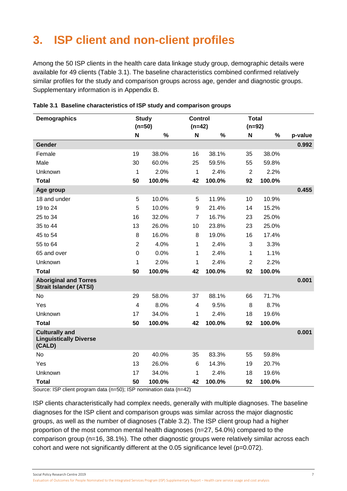# <span id="page-12-0"></span>**3. ISP client and non-client profiles**

Among the 50 ISP clients in the health care data linkage study group, demographic details were available for 49 clients (Table 3.1). The baseline characteristics combined confirmed relatively similar profiles for the study and comparison groups across age, gender and diagnostic groups. Supplementary information is in Appendix B.

| Demographics                                                     | <b>Study</b><br><b>Control</b><br>$(n=50)$<br>$(n=42)$ |        | <b>Total</b><br>$(n=92)$ |        |                |        |         |
|------------------------------------------------------------------|--------------------------------------------------------|--------|--------------------------|--------|----------------|--------|---------|
|                                                                  | N                                                      | %      | N                        | %      | N              | %      | p-value |
| Gender                                                           |                                                        |        |                          |        |                |        | 0.992   |
| Female                                                           | 19                                                     | 38.0%  | 16                       | 38.1%  | 35             | 38.0%  |         |
| Male                                                             | 30                                                     | 60.0%  | 25                       | 59.5%  | 55             | 59.8%  |         |
| Unknown                                                          | 1                                                      | 2.0%   | $\mathbf{1}$             | 2.4%   | $\overline{2}$ | 2.2%   |         |
| <b>Total</b>                                                     | 50                                                     | 100.0% | 42                       | 100.0% | 92             | 100.0% |         |
| Age group                                                        |                                                        |        |                          |        |                |        | 0.455   |
| 18 and under                                                     | 5                                                      | 10.0%  | 5                        | 11.9%  | 10             | 10.9%  |         |
| 19 to 24                                                         | 5                                                      | 10.0%  | $\boldsymbol{9}$         | 21.4%  | 14             | 15.2%  |         |
| 25 to 34                                                         | 16                                                     | 32.0%  | $\overline{7}$           | 16.7%  | 23             | 25.0%  |         |
| 35 to 44                                                         | 13                                                     | 26.0%  | 10                       | 23.8%  | 23             | 25.0%  |         |
| 45 to 54                                                         | 8                                                      | 16.0%  | 8                        | 19.0%  | 16             | 17.4%  |         |
| 55 to 64                                                         | $\overline{2}$                                         | 4.0%   | 1                        | 2.4%   | 3              | 3.3%   |         |
| 65 and over                                                      | $\mathbf 0$                                            | 0.0%   | 1                        | 2.4%   | 1              | 1.1%   |         |
| Unknown                                                          | 1                                                      | 2.0%   | 1                        | 2.4%   | $\overline{2}$ | 2.2%   |         |
| <b>Total</b>                                                     | 50                                                     | 100.0% | 42                       | 100.0% | 92             | 100.0% |         |
| <b>Aboriginal and Torres</b><br><b>Strait Islander (ATSI)</b>    |                                                        |        |                          |        |                |        | 0.001   |
| No                                                               | 29                                                     | 58.0%  | 37                       | 88.1%  | 66             | 71.7%  |         |
| Yes                                                              | $\overline{4}$                                         | 8.0%   | 4                        | 9.5%   | 8              | 8.7%   |         |
| Unknown                                                          | 17                                                     | 34.0%  | 1                        | 2.4%   | 18             | 19.6%  |         |
| <b>Total</b>                                                     | 50                                                     | 100.0% | 42                       | 100.0% | 92             | 100.0% |         |
| <b>Culturally and</b><br><b>Linguistically Diverse</b><br>(CALD) |                                                        |        |                          |        |                |        | 0.001   |
| <b>No</b>                                                        | 20                                                     | 40.0%  | 35                       | 83.3%  | 55             | 59.8%  |         |
| Yes                                                              | 13                                                     | 26.0%  | 6                        | 14.3%  | 19             | 20.7%  |         |
| Unknown                                                          | 17                                                     | 34.0%  | 1                        | 2.4%   | 18             | 19.6%  |         |
| <b>Total</b>                                                     | 50                                                     | 100.0% | 42                       | 100.0% | 92             | 100.0% |         |

<span id="page-12-1"></span>

|  |  | Table 3.1 Baseline characteristics of ISP study and comparison groups |  |  |  |  |
|--|--|-----------------------------------------------------------------------|--|--|--|--|
|--|--|-----------------------------------------------------------------------|--|--|--|--|

Source: ISP client program data (n=50); ISP nomination data (n=42)

ISP clients characteristically had complex needs, generally with multiple diagnoses. The baseline diagnoses for the ISP client and comparison groups was similar across the major diagnostic groups, as well as the number of diagnoses (Table 3.2). The ISP client group had a higher proportion of the most common mental health diagnoses (n=27, 54.0%) compared to the comparison group (n=16, 38.1%). The other diagnostic groups were relatively similar across each cohort and were not significantly different at the 0.05 significance level (p=0.072).

Social Policy Research Centre 2019 7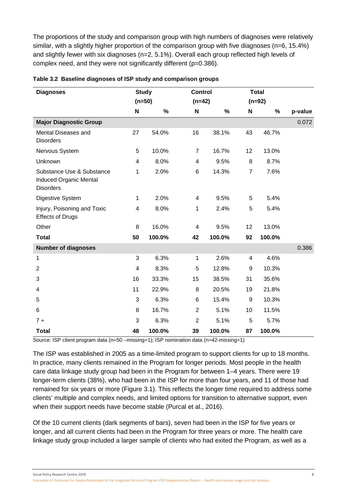The proportions of the study and comparison group with high numbers of diagnoses were relatively similar, with a slightly higher proportion of the comparison group with five diagnoses (n=6, 15.4%) and slightly fewer with six diagnoses (n=2, 5.1%). Overall each group reflected high levels of complex need, and they were not significantly different (p=0.386).

| <b>Diagnoses</b>                                                               | <b>Study</b> |          | <b>Control</b>            |        |                | <b>Total</b> |         |
|--------------------------------------------------------------------------------|--------------|----------|---------------------------|--------|----------------|--------------|---------|
|                                                                                |              | $(n=50)$ | $(n=42)$                  |        | $(n=92)$       |              |         |
|                                                                                | $\mathbf N$  | $\%$     | $\boldsymbol{\mathsf{N}}$ | $\%$   | N              | $\%$         | p-value |
| <b>Major Diagnostic Group</b>                                                  |              |          |                           |        |                |              | 0.072   |
| Mental Diseases and<br><b>Disorders</b>                                        | 27           | 54.0%    | 16                        | 38.1%  | 43             | 46.7%        |         |
| Nervous System                                                                 | 5            | 10.0%    | $\overline{7}$            | 16.7%  | 12             | 13.0%        |         |
| Unknown                                                                        | 4            | 8.0%     | $\overline{\mathbf{4}}$   | 9.5%   | $\,8\,$        | 8.7%         |         |
| Substance Use & Substance<br><b>Induced Organic Mental</b><br><b>Disorders</b> | 1            | 2.0%     | 6                         | 14.3%  | $\overline{7}$ | 7.6%         |         |
| Digestive System                                                               | 1            | 2.0%     | $\overline{4}$            | 9.5%   | 5              | 5.4%         |         |
| Injury, Poisoning and Toxic<br><b>Effects of Drugs</b>                         | 4            | 8.0%     | 1                         | 2.4%   | 5              | 5.4%         |         |
| Other                                                                          | 8            | 16.0%    | $\overline{\mathbf{4}}$   | 9.5%   | 12             | 13.0%        |         |
| <b>Total</b>                                                                   | 50           | 100.0%   | 42                        | 100.0% | 92             | 100.0%       |         |
| <b>Number of diagnoses</b>                                                     |              |          |                           |        |                |              | 0.386   |
| 1                                                                              | 3            | 6.3%     | 1                         | 2.6%   | 4              | 4.6%         |         |
| $\overline{2}$                                                                 | 4            | 8.3%     | 5                         | 12.8%  | 9              | 10.3%        |         |
| 3                                                                              | 16           | 33.3%    | 15                        | 38.5%  | 31             | 35.6%        |         |
| 4                                                                              | 11           | 22.9%    | 8                         | 20.5%  | 19             | 21.8%        |         |
| 5                                                                              | 3            | 6.3%     | 6                         | 15.4%  | 9              | 10.3%        |         |
| 6                                                                              | 8            | 16.7%    | $\overline{2}$            | 5.1%   | 10             | 11.5%        |         |
| $7 +$                                                                          | 3            | 6.3%     | $\overline{2}$            | 5.1%   | 5              | 5.7%         |         |
| <b>Total</b>                                                                   | 48           | 100.0%   | 39                        | 100.0% | 87             | 100.0%       |         |

### <span id="page-13-0"></span>**Table 3.2 Baseline diagnoses of ISP study and comparison groups**

Source: ISP client program data (n=50 –missing=1); ISP nomination data (n=42-missing=1)

The ISP was established in 2005 as a time-limited program to support clients for up to 18 months. In practice, many clients remained in the Program for longer periods. Most people in the health care data linkage study group had been in the Program for between 1–4 years. There were 19 longer-term clients (38%), who had been in the ISP for more than four years, and 11 of those had remained for six years or more (Figure 3.1). This reflects the longer time required to address some clients' multiple and complex needs, and limited options for transition to alternative support, even when their support needs have become stable (Purcal et al., 2016).

Of the 10 current clients (dark segments of bars), seven had been in the ISP for five years or longer, and all current clients had been in the Program for three years or more. The health care linkage study group included a larger sample of clients who had exited the Program, as well as a

Social Policy Research Centre 2019 8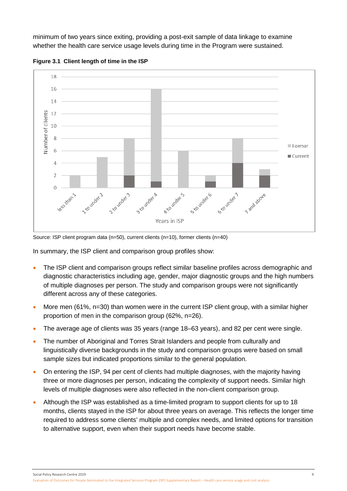minimum of two years since exiting, providing a post-exit sample of data linkage to examine whether the health care service usage levels during time in the Program were sustained.



<span id="page-14-0"></span>**Figure 3.1 Client length of time in the ISP**

Source: ISP client program data (n=50), current clients (n=10), former clients (n=40)

In summary, the ISP client and comparison group profiles show:

- The ISP client and comparison groups reflect similar baseline profiles across demographic and diagnostic characteristics including age, gender, major diagnostic groups and the high numbers of multiple diagnoses per person. The study and comparison groups were not significantly different across any of these categories.
- More men (61%, n=30) than women were in the current ISP client group, with a similar higher proportion of men in the comparison group (62%, n=26).
- The average age of clients was 35 years (range 18–63 years), and 82 per cent were single.
- The number of Aboriginal and Torres Strait Islanders and people from culturally and linguistically diverse backgrounds in the study and comparison groups were based on small sample sizes but indicated proportions similar to the general population.
- On entering the ISP, 94 per cent of clients had multiple diagnoses, with the majority having three or more diagnoses per person, indicating the complexity of support needs. Similar high levels of multiple diagnoses were also reflected in the non-client comparison group.
- Although the ISP was established as a time-limited program to support clients for up to 18 months, clients stayed in the ISP for about three years on average. This reflects the longer time required to address some clients' multiple and complex needs, and limited options for transition to alternative support, even when their support needs have become stable.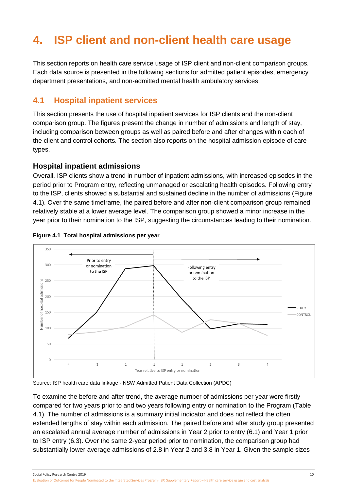# <span id="page-15-0"></span>**4. ISP client and non-client health care usage**

This section reports on health care service usage of ISP client and non-client comparison groups. Each data source is presented in the following sections for admitted patient episodes, emergency department presentations, and non-admitted mental health ambulatory services.

## <span id="page-15-1"></span>**4.1 Hospital inpatient services**

This section presents the use of hospital inpatient services for ISP clients and the non-client comparison group. The figures present the change in number of admissions and length of stay, including comparison between groups as well as paired before and after changes within each of the client and control cohorts. The section also reports on the hospital admission episode of care types.

## **Hospital inpatient admissions**

Overall, ISP clients show a trend in number of inpatient admissions, with increased episodes in the period prior to Program entry, reflecting unmanaged or escalating health episodes. Following entry to the ISP, clients showed a substantial and sustained decline in the number of admissions (Figure 4.1). Over the same timeframe, the paired before and after non-client comparison group remained relatively stable at a lower average level. The comparison group showed a minor increase in the year prior to their nomination to the ISP, suggesting the circumstances leading to their nomination.



### <span id="page-15-2"></span>**Figure 4.1 Total hospital admissions per year**

Source: ISP health care data linkage - NSW Admitted Patient Data Collection (APDC)

To examine the before and after trend, the average number of admissions per year were firstly compared for two years prior to and two years following entry or nomination to the Program (Table 4.1). The number of admissions is a summary initial indicator and does not reflect the often extended lengths of stay within each admission. The paired before and after study group presented an escalated annual average number of admissions in Year 2 prior to entry (6.1) and Year 1 prior to ISP entry (6.3). Over the same 2-year period prior to nomination, the comparison group had substantially lower average admissions of 2.8 in Year 2 and 3.8 in Year 1. Given the sample sizes

Social Policy Research Centre 2019 10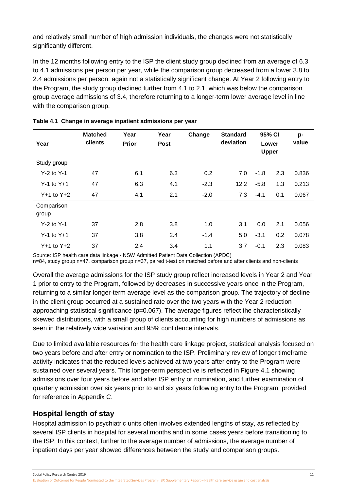and relatively small number of high admission individuals, the changes were not statistically significantly different.

In the 12 months following entry to the ISP the client study group declined from an average of 6.3 to 4.1 admissions per person per year, while the comparison group decreased from a lower 3.8 to 2.4 admissions per person, again not a statistically significant change. At Year 2 following entry to the Program, the study group declined further from 4.1 to 2.1, which was below the comparison group average admissions of 3.4, therefore returning to a longer-term lower average level in line with the comparison group.

| Year                | <b>Matched</b><br>clients | Year<br><b>Prior</b> | Year<br><b>Post</b> | Change | <b>Standard</b><br>deviation | 95% CI<br>Lower<br><b>Upper</b> |     | p-<br>value |
|---------------------|---------------------------|----------------------|---------------------|--------|------------------------------|---------------------------------|-----|-------------|
| Study group         |                           |                      |                     |        |                              |                                 |     |             |
| $Y-2$ to $Y-1$      | 47                        | 6.1                  | 6.3                 | 0.2    | 7.0                          | $-1.8$                          | 2.3 | 0.836       |
| $Y-1$ to $Y+1$      | 47                        | 6.3                  | 4.1                 | $-2.3$ | 12.2                         | $-5.8$                          | 1.3 | 0.213       |
| $Y+1$ to $Y+2$      | 47                        | 4.1                  | 2.1                 | $-2.0$ | 7.3                          | $-4.1$                          | 0.1 | 0.067       |
| Comparison<br>group |                           |                      |                     |        |                              |                                 |     |             |
| $Y-2$ to $Y-1$      | 37                        | 2.8                  | 3.8                 | 1.0    | 3.1                          | 0.0                             | 2.1 | 0.056       |
| $Y-1$ to $Y+1$      | 37                        | 3.8                  | 2.4                 | $-1.4$ | 5.0                          | $-3.1$                          | 0.2 | 0.078       |
| $Y+1$ to $Y+2$      | 37                        | 2.4                  | 3.4                 | 1.1    | 3.7                          | $-0.1$                          | 2.3 | 0.083       |

<span id="page-16-0"></span>

| Table 4.1 Change in average inpatient admissions per year |  |
|-----------------------------------------------------------|--|
|-----------------------------------------------------------|--|

Source: ISP health care data linkage - NSW Admitted Patient Data Collection (APDC)

n=84, study group n=47, comparison group n=37, paired t-test on matched before and after clients and non-clients

Overall the average admissions for the ISP study group reflect increased levels in Year 2 and Year 1 prior to entry to the Program, followed by decreases in successive years once in the Program, returning to a similar longer-term average level as the comparison group. The trajectory of decline in the client group occurred at a sustained rate over the two years with the Year 2 reduction approaching statistical significance (p=0.067). The average figures reflect the characteristically skewed distributions, with a small group of clients accounting for high numbers of admissions as seen in the relatively wide variation and 95% confidence intervals.

Due to limited available resources for the health care linkage project, statistical analysis focused on two years before and after entry or nomination to the ISP. Preliminary review of longer timeframe activity indicates that the reduced levels achieved at two years after entry to the Program were sustained over several years. This longer-term perspective is reflected in Figure 4.1 showing admissions over four years before and after ISP entry or nomination, and further examination of quarterly admission over six years prior to and six years following entry to the Program, provided for reference in Appendix C.

## **Hospital length of stay**

Hospital admission to psychiatric units often involves extended lengths of stay, as reflected by several ISP clients in hospital for several months and in some cases years before transitioning to the ISP. In this context, further to the average number of admissions, the average number of inpatient days per year showed differences between the study and comparison groups.

Social Policy Research Centre 2019 11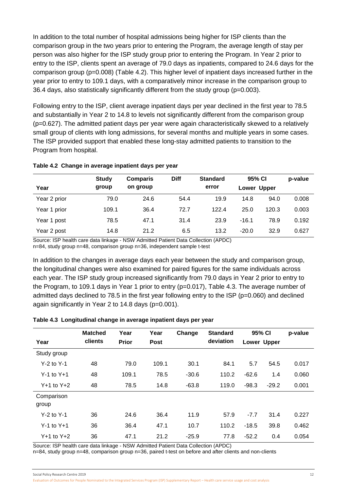In addition to the total number of hospital admissions being higher for ISP clients than the comparison group in the two years prior to entering the Program, the average length of stay per person was also higher for the ISP study group prior to entering the Program. In Year 2 prior to entry to the ISP, clients spent an average of 79.0 days as inpatients, compared to 24.6 days for the comparison group (p=0.008) (Table 4.2). This higher level of inpatient days increased further in the year prior to entry to 109.1 days, with a comparatively minor increase in the comparison group to 36.4 days, also statistically significantly different from the study group ( $p=0.003$ ).

Following entry to the ISP, client average inpatient days per year declined in the first year to 78.5 and substantially in Year 2 to 14.8 to levels not significantly different from the comparison group (p=0.627). The admitted patient days per year were again characteristically skewed to a relatively small group of clients with long admissions, for several months and multiple years in some cases. The ISP provided support that enabled these long-stay admitted patients to transition to the Program from hospital.

### <span id="page-17-0"></span>**Table 4.2 Change in average inpatient days per year**

|              | <b>Study</b> | <b>Comparis</b> | <b>Diff</b> | <b>Standard</b> | 95% CI      |       | p-value |
|--------------|--------------|-----------------|-------------|-----------------|-------------|-------|---------|
| Year         | group        | on group        |             | error           | Lower Upper |       |         |
| Year 2 prior | 79.0         | 24.6            | 54.4        | 19.9            | 14.8        | 94.0  | 0.008   |
| Year 1 prior | 109.1        | 36.4            | 72.7        | 122.4           | 25.0        | 120.3 | 0.003   |
| Year 1 post  | 78.5         | 47.1            | 31.4        | 23.9            | $-16.1$     | 78.9  | 0.192   |
| Year 2 post  | 14.8         | 21.2            | 6.5         | 13.2            | $-20.0$     | 32.9  | 0.627   |

Source: ISP health care data linkage - NSW Admitted Patient Data Collection (APDC) n=84, study group n=48, comparison group n=36, independent sample t-test

In addition to the changes in average days each year between the study and comparison group, the longitudinal changes were also examined for paired figures for the same individuals across each year. The ISP study group increased significantly from 79.0 days in Year 2 prior to entry to the Program, to 109.1 days in Year 1 prior to entry (p=0.017), Table 4.3. The average number of admitted days declined to 78.5 in the first year following entry to the ISP (p=0.060) and declined again significantly in Year 2 to 14.8 days (p=0.001).

<span id="page-17-1"></span>

| Year                | <b>Matched</b><br>clients | Year<br><b>Prior</b> | Year<br><b>Post</b> | Change  | <b>Standard</b><br>deviation | 95% CI  | Lower Upper | p-value |
|---------------------|---------------------------|----------------------|---------------------|---------|------------------------------|---------|-------------|---------|
| Study group         |                           |                      |                     |         |                              |         |             |         |
| $Y-2$ to $Y-1$      | 48                        | 79.0                 | 109.1               | 30.1    | 84.1                         | 5.7     | 54.5        | 0.017   |
| $Y-1$ to $Y+1$      | 48                        | 109.1                | 78.5                | $-30.6$ | 110.2                        | $-62.6$ | 1.4         | 0.060   |
| $Y+1$ to $Y+2$      | 48                        | 78.5                 | 14.8                | $-63.8$ | 119.0                        | $-98.3$ | $-29.2$     | 0.001   |
| Comparison<br>group |                           |                      |                     |         |                              |         |             |         |
| $Y-2$ to $Y-1$      | 36                        | 24.6                 | 36.4                | 11.9    | 57.9                         | $-7.7$  | 31.4        | 0.227   |
| $Y-1$ to $Y+1$      | 36                        | 36.4                 | 47.1                | 10.7    | 110.2                        | $-18.5$ | 39.8        | 0.462   |
| $Y+1$ to $Y+2$      | 36                        | 47.1                 | 21.2                | $-25.9$ | 77.8                         | $-52.2$ | 0.4         | 0.054   |

Source: ISP health care data linkage - NSW Admitted Patient Data Collection (APDC)

n=84, study group n=48, comparison group n=36, paired t-test on before and after clients and non-clients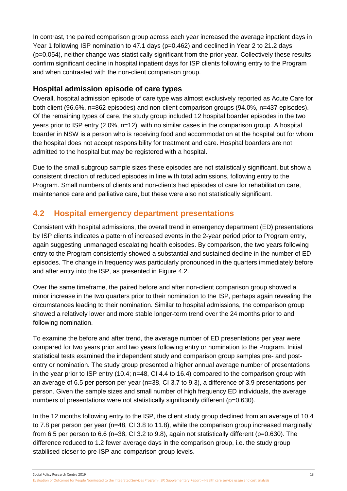In contrast, the paired comparison group across each year increased the average inpatient days in Year 1 following ISP nomination to 47.1 days (p=0.462) and declined in Year 2 to 21.2 days (p=0.054), neither change was statistically significant from the prior year. Collectively these results confirm significant decline in hospital inpatient days for ISP clients following entry to the Program and when contrasted with the non-client comparison group.

### **Hospital admission episode of care types**

Overall, hospital admission episode of care type was almost exclusively reported as Acute Care for both client (96.6%, n=862 episodes) and non-client comparison groups (94.0%, n=437 episodes). Of the remaining types of care, the study group included 12 hospital boarder episodes in the two years prior to ISP entry (2.0%, n=12), with no similar cases in the comparison group. A hospital boarder in NSW is a person who is receiving food and accommodation at the hospital but for whom the hospital does not accept responsibility for treatment and care. Hospital boarders are not admitted to the hospital but may be registered with a hospital.

Due to the small subgroup sample sizes these episodes are not statistically significant, but show a consistent direction of reduced episodes in line with total admissions, following entry to the Program. Small numbers of clients and non-clients had episodes of care for rehabilitation care, maintenance care and palliative care, but these were also not statistically significant.

## <span id="page-18-0"></span>**4.2 Hospital emergency department presentations**

Consistent with hospital admissions, the overall trend in emergency department (ED) presentations by ISP clients indicates a pattern of increased events in the 2-year period prior to Program entry, again suggesting unmanaged escalating health episodes. By comparison, the two years following entry to the Program consistently showed a substantial and sustained decline in the number of ED episodes. The change in frequency was particularly pronounced in the quarters immediately before and after entry into the ISP, as presented in Figure 4.2.

Over the same timeframe, the paired before and after non-client comparison group showed a minor increase in the two quarters prior to their nomination to the ISP, perhaps again revealing the circumstances leading to their nomination. Similar to hospital admissions, the comparison group showed a relatively lower and more stable longer-term trend over the 24 months prior to and following nomination.

To examine the before and after trend, the average number of ED presentations per year were compared for two years prior and two years following entry or nomination to the Program. Initial statistical tests examined the independent study and comparison group samples pre- and postentry or nomination. The study group presented a higher annual average number of presentations in the year prior to ISP entry (10.4; n=48, CI 4.4 to 16.4) compared to the comparison group with an average of 6.5 per person per year (n=38, CI 3.7 to 9.3), a difference of 3.9 presentations per person. Given the sample sizes and small number of high frequency ED individuals, the average numbers of presentations were not statistically significantly different (p=0.630).

In the 12 months following entry to the ISP, the client study group declined from an average of 10.4 to 7.8 per person per year (n=48, CI 3.8 to 11.8), while the comparison group increased marginally from 6.5 per person to 6.6 (n=38, CI 3.2 to 9.8), again not statistically different (p=0.630). The difference reduced to 1.2 fewer average days in the comparison group, i.e. the study group stabilised closer to pre-ISP and comparison group levels.

Social Policy Research Centre 2019 13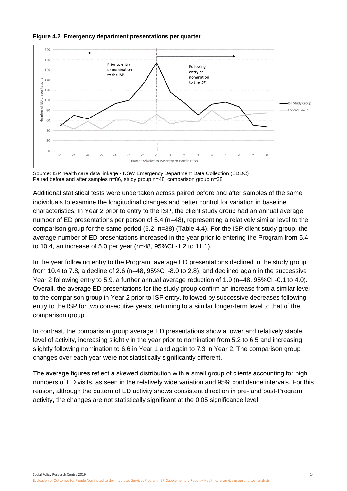<span id="page-19-0"></span>



Source: ISP health care data linkage - NSW Emergency Department Data Collection (EDDC) Paired before and after samples n=86, study group n=48, comparison group n=38

Additional statistical tests were undertaken across paired before and after samples of the same individuals to examine the longitudinal changes and better control for variation in baseline characteristics. In Year 2 prior to entry to the ISP, the client study group had an annual average number of ED presentations per person of 5.4 (n=48), representing a relatively similar level to the comparison group for the same period (5.2, n=38) (Table 4.4). For the ISP client study group, the average number of ED presentations increased in the year prior to entering the Program from 5.4 to 10.4, an increase of 5.0 per year (n=48, 95%CI -1.2 to 11.1).

In the year following entry to the Program, average ED presentations declined in the study group from 10.4 to 7.8, a decline of 2.6 (n=48, 95%CI -8.0 to 2.8), and declined again in the successive Year 2 following entry to 5.9, a further annual average reduction of 1.9 (n=48, 95%CI -0.1 to 4.0). Overall, the average ED presentations for the study group confirm an increase from a similar level to the comparison group in Year 2 prior to ISP entry, followed by successive decreases following entry to the ISP for two consecutive years, returning to a similar longer-term level to that of the comparison group.

In contrast, the comparison group average ED presentations show a lower and relatively stable level of activity, increasing slightly in the year prior to nomination from 5.2 to 6.5 and increasing slightly following nomination to 6.6 in Year 1 and again to 7.3 in Year 2. The comparison group changes over each year were not statistically significantly different.

The average figures reflect a skewed distribution with a small group of clients accounting for high numbers of ED visits, as seen in the relatively wide variation and 95% confidence intervals. For this reason, although the pattern of ED activity shows consistent direction in pre- and post-Program activity, the changes are not statistically significant at the 0.05 significance level.

Social Policy Research Centre 2019 2019 14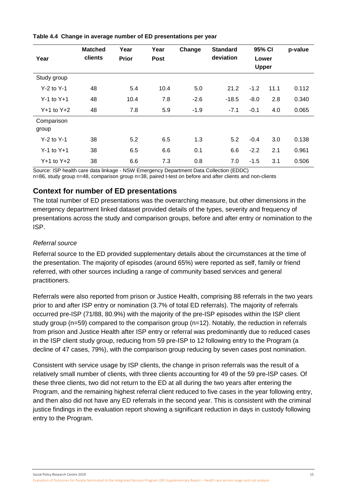| Year                | <b>Matched</b><br>clients | Year<br>Prior | Year<br><b>Post</b> | Change | <b>Standard</b><br>deviation | 95% CI<br>Lower<br><b>Upper</b> |      | p-value |
|---------------------|---------------------------|---------------|---------------------|--------|------------------------------|---------------------------------|------|---------|
| Study group         |                           |               |                     |        |                              |                                 |      |         |
| $Y-2$ to $Y-1$      | 48                        | 5.4           | 10.4                | 5.0    | 21.2                         | $-1.2$                          | 11.1 | 0.112   |
| $Y-1$ to $Y+1$      | 48                        | 10.4          | 7.8                 | $-2.6$ | $-18.5$                      | $-8.0$                          | 2.8  | 0.340   |
| $Y+1$ to $Y+2$      | 48                        | 7.8           | 5.9                 | $-1.9$ | $-7.1$                       | $-0.1$                          | 4.0  | 0.065   |
| Comparison<br>group |                           |               |                     |        |                              |                                 |      |         |
| $Y-2$ to $Y-1$      | 38                        | 5.2           | 6.5                 | 1.3    | 5.2                          | $-0.4$                          | 3.0  | 0.138   |
| $Y-1$ to $Y+1$      | 38                        | 6.5           | 6.6                 | 0.1    | 6.6                          | $-2.2$                          | 2.1  | 0.961   |
| $Y+1$ to $Y+2$      | 38                        | 6.6           | 7.3                 | 0.8    | 7.0                          | $-1.5$                          | 3.1  | 0.506   |

#### <span id="page-20-0"></span>**Table 4.4 Change in average number of ED presentations per year**

Source: ISP health care data linkage - NSW Emergency Department Data Collection (EDDC) n=86, study group n=48, comparison group n=38, paired t-test on before and after clients and non-clients

## **Context for number of ED presentations**

The total number of ED presentations was the overarching measure, but other dimensions in the emergency department linked dataset provided details of the types, severity and frequency of presentations across the study and comparison groups, before and after entry or nomination to the ISP.

### *Referral source*

Referral source to the ED provided supplementary details about the circumstances at the time of the presentation. The majority of episodes (around 65%) were reported as self, family or friend referred, with other sources including a range of community based services and general practitioners.

Referrals were also reported from prison or Justice Health, comprising 88 referrals in the two years prior to and after ISP entry or nomination (3.7% of total ED referrals). The majority of referrals occurred pre-ISP (71/88, 80.9%) with the majority of the pre-ISP episodes within the ISP client study group (n=59) compared to the comparison group (n=12). Notably, the reduction in referrals from prison and Justice Health after ISP entry or referral was predominantly due to reduced cases in the ISP client study group, reducing from 59 pre-ISP to 12 following entry to the Program (a decline of 47 cases, 79%), with the comparison group reducing by seven cases post nomination.

Consistent with service usage by ISP clients, the change in prison referrals was the result of a relatively small number of clients, with three clients accounting for 49 of the 59 pre-ISP cases. Of these three clients, two did not return to the ED at all during the two years after entering the Program, and the remaining highest referral client reduced to five cases in the year following entry, and then also did not have any ED referrals in the second year. This is consistent with the criminal justice findings in the evaluation report showing a significant reduction in days in custody following entry to the Program.

Social Policy Research Centre 2019 15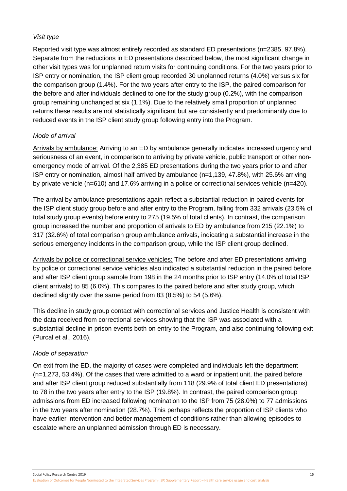### *Visit type*

Reported visit type was almost entirely recorded as standard ED presentations (n=2385, 97.8%). Separate from the reductions in ED presentations described below, the most significant change in other visit types was for unplanned return visits for continuing conditions. For the two years prior to ISP entry or nomination, the ISP client group recorded 30 unplanned returns (4.0%) versus six for the comparison group (1.4%). For the two years after entry to the ISP, the paired comparison for the before and after individuals declined to one for the study group (0.2%), with the comparison group remaining unchanged at six (1.1%). Due to the relatively small proportion of unplanned returns these results are not statistically significant but are consistently and predominantly due to reduced events in the ISP client study group following entry into the Program.

### *Mode of arrival*

Arrivals by ambulance: Arriving to an ED by ambulance generally indicates increased urgency and seriousness of an event, in comparison to arriving by private vehicle, public transport or other nonemergency mode of arrival. Of the 2,385 ED presentations during the two years prior to and after ISP entry or nomination, almost half arrived by ambulance (n=1,139, 47.8%), with 25.6% arriving by private vehicle (n=610) and 17.6% arriving in a police or correctional services vehicle (n=420).

The arrival by ambulance presentations again reflect a substantial reduction in paired events for the ISP client study group before and after entry to the Program, falling from 332 arrivals (23.5% of total study group events) before entry to 275 (19.5% of total clients). In contrast, the comparison group increased the number and proportion of arrivals to ED by ambulance from 215 (22.1%) to 317 (32.6%) of total comparison group ambulance arrivals, indicating a substantial increase in the serious emergency incidents in the comparison group, while the ISP client group declined.

Arrivals by police or correctional service vehicles: The before and after ED presentations arriving by police or correctional service vehicles also indicated a substantial reduction in the paired before and after ISP client group sample from 198 in the 24 months prior to ISP entry (14.0% of total ISP client arrivals) to 85 (6.0%). This compares to the paired before and after study group, which declined slightly over the same period from 83 (8.5%) to 54 (5.6%).

This decline in study group contact with correctional services and Justice Health is consistent with the data received from correctional services showing that the ISP was associated with a substantial decline in prison events both on entry to the Program, and also continuing following exit (Purcal et al., 2016).

### *Mode of separation*

On exit from the ED, the majority of cases were completed and individuals left the department (n=1,273, 53.4%). Of the cases that were admitted to a ward or inpatient unit, the paired before and after ISP client group reduced substantially from 118 (29.9% of total client ED presentations) to 78 in the two years after entry to the ISP (19.8%). In contrast, the paired comparison group admissions from ED increased following nomination to the ISP from 75 (28.0%) to 77 admissions in the two years after nomination (28.7%). This perhaps reflects the proportion of ISP clients who have earlier intervention and better management of conditions rather than allowing episodes to escalate where an unplanned admission through ED is necessary.

Social Policy Research Centre 2019 16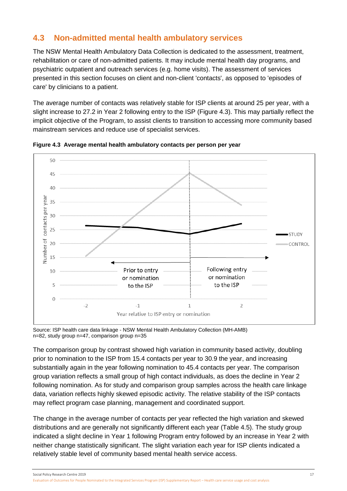# <span id="page-22-0"></span>**4.3 Non-admitted mental health ambulatory services**

The NSW Mental Health Ambulatory Data Collection is dedicated to the assessment, treatment, rehabilitation or care of non-admitted patients. It may include mental health day programs, and psychiatric outpatient and outreach services (e.g. home visits). The assessment of services presented in this section focuses on client and non-client 'contacts', as opposed to 'episodes of care' by clinicians to a patient.

The average number of contacts was relatively stable for ISP clients at around 25 per year, with a slight increase to 27.2 in Year 2 following entry to the ISP (Figure 4.3). This may partially reflect the implicit objective of the Program, to assist clients to transition to accessing more community based mainstream services and reduce use of specialist services.



<span id="page-22-1"></span>**Figure 4.3 Average mental health ambulatory contacts per person per year**

Source: ISP health care data linkage - NSW Mental Health Ambulatory Collection (MH-AMB) n=82, study group n=47, comparison group n=35

The comparison group by contrast showed high variation in community based activity, doubling prior to nomination to the ISP from 15.4 contacts per year to 30.9 the year, and increasing substantially again in the year following nomination to 45.4 contacts per year. The comparison group variation reflects a small group of high contact individuals, as does the decline in Year 2 following nomination. As for study and comparison group samples across the health care linkage data, variation reflects highly skewed episodic activity. The relative stability of the ISP contacts may reflect program case planning, management and coordinated support.

The change in the average number of contacts per year reflected the high variation and skewed distributions and are generally not significantly different each year (Table 4.5). The study group indicated a slight decline in Year 1 following Program entry followed by an increase in Year 2 with neither change statistically significant. The slight variation each year for ISP clients indicated a relatively stable level of community based mental health service access.

Social Policy Research Centre 2019 17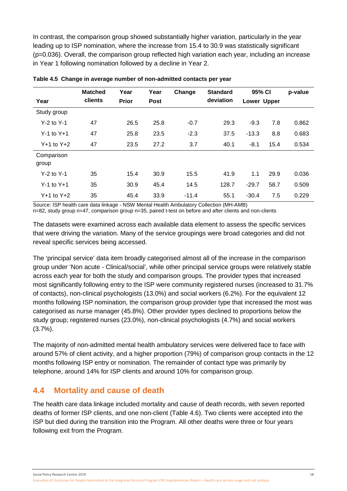In contrast, the comparison group showed substantially higher variation, particularly in the year leading up to ISP nomination, where the increase from 15.4 to 30.9 was statistically significant (p=0.036). Overall, the comparison group reflected high variation each year, including an increase in Year 1 following nomination followed by a decline in Year 2.

| Year           | <b>Matched</b><br>clients | Year<br><b>Prior</b> | Year<br><b>Post</b> | Change  | <b>Standard</b><br>deviation | 95% CI<br>Lower Upper |      | p-value |
|----------------|---------------------------|----------------------|---------------------|---------|------------------------------|-----------------------|------|---------|
|                |                           |                      |                     |         |                              |                       |      |         |
| Study group    |                           |                      |                     |         |                              |                       |      |         |
| $Y-2$ to $Y-1$ | 47                        | 26.5                 | 25.8                | $-0.7$  | 29.3                         | $-9.3$                | 7.8  | 0.862   |
| $Y-1$ to $Y+1$ | 47                        | 25.8                 | 23.5                | $-2.3$  | 37.5                         | $-13.3$               | 8.8  | 0.683   |
| $Y+1$ to $Y+2$ | 47                        | 23.5                 | 27.2                | 3.7     | 40.1                         | $-8.1$                | 15.4 | 0.534   |
| Comparison     |                           |                      |                     |         |                              |                       |      |         |
| group          |                           |                      |                     |         |                              |                       |      |         |
| $Y-2$ to $Y-1$ | 35                        | 15.4                 | 30.9                | 15.5    | 41.9                         | 1.1                   | 29.9 | 0.036   |
| $Y-1$ to $Y+1$ | 35                        | 30.9                 | 45.4                | 14.5    | 128.7                        | $-29.7$               | 58.7 | 0.509   |
| $Y+1$ to $Y+2$ | 35                        | 45.4                 | 33.9                | $-11.4$ | 55.1                         | $-30.4$               | 7.5  | 0.229   |

<span id="page-23-1"></span>**Table 4.5 Change in average number of non-admitted contacts per year**

Source: ISP health care data linkage - NSW Mental Health Ambulatory Collection (MH-AMB)

n=82, study group n=47, comparison group n=35, paired t-test on before and after clients and non-clients

The datasets were examined across each available data element to assess the specific services that were driving the variation. Many of the service groupings were broad categories and did not reveal specific services being accessed.

The 'principal service' data item broadly categorised almost all of the increase in the comparison group under 'Non acute - Clinical/social', while other principal service groups were relatively stable across each year for both the study and comparison groups. The provider types that increased most significantly following entry to the ISP were community registered nurses (increased to 31.7% of contacts), non-clinical psychologists (13.0%) and social workers (6.2%). For the equivalent 12 months following ISP nomination, the comparison group provider type that increased the most was categorised as nurse manager (45.8%). Other provider types declined to proportions below the study group; registered nurses (23.0%), non-clinical psychologists (4.7%) and social workers (3.7%).

The majority of non-admitted mental health ambulatory services were delivered face to face with around 57% of client activity, and a higher proportion (79%) of comparison group contacts in the 12 months following ISP entry or nomination. The remainder of contact type was primarily by telephone, around 14% for ISP clients and around 10% for comparison group.

## <span id="page-23-0"></span>**4.4 Mortality and cause of death**

The health care data linkage included mortality and cause of death records, with seven reported deaths of former ISP clients, and one non-client (Table 4.6). Two clients were accepted into the ISP but died during the transition into the Program. All other deaths were three or four years following exit from the Program.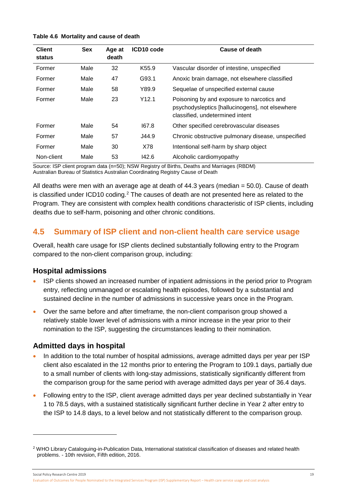#### <span id="page-24-1"></span>**Table 4.6 Mortality and cause of death**

| <b>Client</b><br>status | <b>Sex</b> | Age at<br>death | ICD10 code        | <b>Cause of death</b>                                                                                                            |
|-------------------------|------------|-----------------|-------------------|----------------------------------------------------------------------------------------------------------------------------------|
| Former                  | Male       | 32              | K <sub>55.9</sub> | Vascular disorder of intestine, unspecified                                                                                      |
| Former                  | Male       | 47              | G93.1             | Anoxic brain damage, not elsewhere classified                                                                                    |
| Former                  | Male       | 58              | Y89.9             | Sequelae of unspecified external cause                                                                                           |
| Former                  | Male       | 23              | Y12.1             | Poisoning by and exposure to narcotics and<br>psychodysleptics [hallucinogens], not elsewhere<br>classified, undetermined intent |
| Former                  | Male       | 54              | 167.8             | Other specified cerebrovascular diseases                                                                                         |
| Former                  | Male       | 57              | J44.9             | Chronic obstructive pulmonary disease, unspecified                                                                               |
| Former                  | Male       | 30              | X78               | Intentional self-harm by sharp object                                                                                            |
| Non-client              | Male       | 53              | 142.6             | Alcoholic cardiomyopathy                                                                                                         |

Source: ISP client program data (n=50); NSW Registry of Births, Deaths and Marriages (RBDM) Australian Bureau of Statistics Australian Coordinating Registry Cause of Death

All deaths were men with an average age at death of 44.3 years (median = 50.0). Cause of death is classified under ICD10 coding.<sup>[2](#page-24-2)</sup> The causes of death are not presented here as related to the Program. They are consistent with complex health conditions characteristic of ISP clients, including deaths due to self-harm, poisoning and other chronic conditions.

## <span id="page-24-0"></span>**4.5 Summary of ISP client and non-client health care service usage**

Overall, health care usage for ISP clients declined substantially following entry to the Program compared to the non-client comparison group, including:

### **Hospital admissions**

- ISP clients showed an increased number of inpatient admissions in the period prior to Program entry, reflecting unmanaged or escalating health episodes, followed by a substantial and sustained decline in the number of admissions in successive years once in the Program.
- Over the same before and after timeframe, the non-client comparison group showed a relatively stable lower level of admissions with a minor increase in the year prior to their nomination to the ISP, suggesting the circumstances leading to their nomination.

## **Admitted days in hospital**

- In addition to the total number of hospital admissions, average admitted days per year per ISP client also escalated in the 12 months prior to entering the Program to 109.1 days, partially due to a small number of clients with long-stay admissions, statistically significantly different from the comparison group for the same period with average admitted days per year of 36.4 days.
- Following entry to the ISP, client average admitted days per year declined substantially in Year 1 to 78.5 days, with a sustained statistically significant further decline in Year 2 after entry to the ISP to 14.8 days, to a level below and not statistically different to the comparison group.

Social Policy Research Centre 2019 19

-

<span id="page-24-2"></span><sup>2</sup> WHO Library Cataloguing-in-Publication Data, International statistical classification of diseases and related health problems. - 10th revision, Fifth edition, 2016.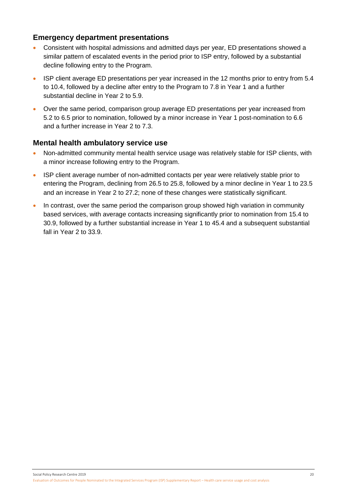## **Emergency department presentations**

- Consistent with hospital admissions and admitted days per year, ED presentations showed a similar pattern of escalated events in the period prior to ISP entry, followed by a substantial decline following entry to the Program.
- ISP client average ED presentations per year increased in the 12 months prior to entry from 5.4 to 10.4, followed by a decline after entry to the Program to 7.8 in Year 1 and a further substantial decline in Year 2 to 5.9.
- Over the same period, comparison group average ED presentations per year increased from 5.2 to 6.5 prior to nomination, followed by a minor increase in Year 1 post-nomination to 6.6 and a further increase in Year 2 to 7.3.

### **Mental health ambulatory service use**

- Non-admitted community mental health service usage was relatively stable for ISP clients, with a minor increase following entry to the Program.
- ISP client average number of non-admitted contacts per year were relatively stable prior to entering the Program, declining from 26.5 to 25.8, followed by a minor decline in Year 1 to 23.5 and an increase in Year 2 to 27.2; none of these changes were statistically significant.
- In contrast, over the same period the comparison group showed high variation in community based services, with average contacts increasing significantly prior to nomination from 15.4 to 30.9, followed by a further substantial increase in Year 1 to 45.4 and a subsequent substantial fall in Year 2 to 33.9.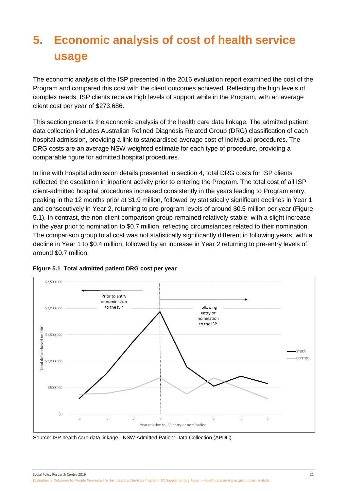# <span id="page-26-0"></span>**5. Economic analysis of cost of health service usage**

The economic analysis of the ISP presented in the 2016 evaluation report examined the cost of the Program and compared this cost with the client outcomes achieved. Reflecting the high levels of complex needs, ISP clients receive high levels of support while in the Program, with an average client cost per year of \$273,686.

This section presents the economic analysis of the health care data linkage. The admitted patient data collection includes Australian Refined Diagnosis Related Group (DRG) classification of each hospital admission, providing a link to standardised average cost of individual procedures. The DRG costs are an average NSW weighted estimate for each type of procedure, providing a comparable figure for admitted hospital procedures.

In line with hospital admission details presented in section 4, total DRG costs for ISP clients reflected the escalation in inpatient activity prior to entering the Program. The total cost of all ISP client-admitted hospital procedures increased consistently in the years leading to Program entry, peaking in the 12 months prior at \$1.9 million, followed by statistically significant declines in Year 1 and consecutively in Year 2, returning to pre-program levels of around \$0.5 million per year (Figure 5.1). In contrast, the non-client comparison group remained relatively stable, with a slight increase in the year prior to nomination to \$0.7 million, reflecting circumstances related to their nomination. The comparison group total cost was not statistically significantly different in following years, with a decline in Year 1 to \$0.4 million, followed by an increase in Year 2 returning to pre-entry levels of around \$0.7 million.



### <span id="page-26-1"></span>**Figure 5.1 Total admitted patient DRG cost per year**

Source: ISP health care data linkage - NSW Admitted Patient Data Collection (APDC)

Social Policy Research Centre 2019 21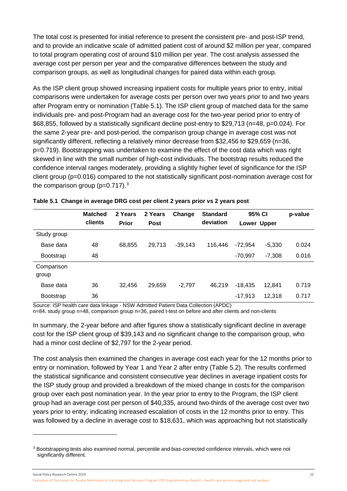The total cost is presented for initial reference to present the consistent pre- and post-ISP trend, and to provide an indicative scale of admitted patient cost of around \$2 million per year, compared to total program operating cost of around \$10 million per year. The cost analysis assessed the average cost per person per year and the comparative differences between the study and comparison groups, as well as longitudinal changes for paired data within each group.

As the ISP client group showed increasing inpatient costs for multiple years prior to entry, initial comparisons were undertaken for average costs per person over two years prior to and two years after Program entry or nomination (Table 5.1). The ISP client group of matched data for the same individuals pre- and post-Program had an average cost for the two-year period prior to entry of \$68,855, followed by a statistically significant decline post-entry to \$29,713 (n=48, p=0.024). For the same 2-year pre- and post-period, the comparison group change in average cost was not significantly different, reflecting a relatively minor decrease from \$32,456 to \$29,659 (n=36, p=0.719). Bootstrapping was undertaken to examine the effect of the cost data which was right skewed in line with the small number of high-cost individuals. The bootstrap results reduced the confidence interval ranges moderately, providing a slightly higher level of significance for the ISP client group (p=0.016) compared to the not statistically significant post-nomination average cost for the comparison group ( $p=0.717$ ).<sup>[3](#page-27-1)</sup>

|                            | <b>Matched</b> | 2 Years      | 2 Years | Change    | <b>Standard</b> | 95% CI    |             | p-value |
|----------------------------|----------------|--------------|---------|-----------|-----------------|-----------|-------------|---------|
|                            | clients        | <b>Prior</b> | Post    |           | deviation       |           | Lower Upper |         |
| Study group                |                |              |         |           |                 |           |             |         |
| Base data                  | 48             | 68,855       | 29,713  | $-39.143$ | 116.446         | $-72.954$ | $-5,330$    | 0.024   |
| <b>Bootstrap</b>           | 48             |              |         |           |                 | $-70,997$ | $-7,308$    | 0.016   |
| Comparison<br>group        |                |              |         |           |                 |           |             |         |
| Base data                  | 36             | 32,456       | 29,659  | $-2.797$  | 46.219          | $-18,435$ | 12,841      | 0.719   |
| <b>Bootstrap</b><br>$\sim$ | 36             |              |         |           |                 | $-17,913$ | 12,318      | 0.717   |

<span id="page-27-0"></span>

|  |  | Table 5.1 Change in average DRG cost per client 2 years prior vs 2 years post |  |  |  |  |  |
|--|--|-------------------------------------------------------------------------------|--|--|--|--|--|
|--|--|-------------------------------------------------------------------------------|--|--|--|--|--|

Source: ISP health care data linkage - NSW Admitted Patient Data Collection (APDC)

n=84, study group n=48, comparison group n=36, paired t-test on before and after clients and non-clients

In summary, the 2-year before and after figures show a statistically significant decline in average cost for the ISP client group of \$39,143 and no significant change to the comparison group, who had a minor cost decline of \$2,797 for the 2-year period.

The cost analysis then examined the changes in average cost each year for the 12 months prior to entry or nomination, followed by Year 1 and Year 2 after entry (Table 5.2). The results confirmed the statistical significance and consistent consecutive year declines in average inpatient costs for the ISP study group and provided a breakdown of the mixed change in costs for the comparison group over each post nomination year. In the year prior to entry to the Program, the ISP client group had an average cost per person of \$40,335, around two-thirds of the average cost over two years prior to entry, indicating increased escalation of costs in the 12 months prior to entry. This was followed by a decline in average cost to \$18,631, which was approaching but not statistically

-

<span id="page-27-1"></span><sup>3</sup> Bootstrapping tests also examined normal, percentile and bias-corrected confidence intervals, which were not significantly different.

Social Policy Research Centre 2019 22

Evaluation of Outcomes for People Nominated to the Integrated Services Program (ISP) Supplementary Report – Health care service usage and cost analysis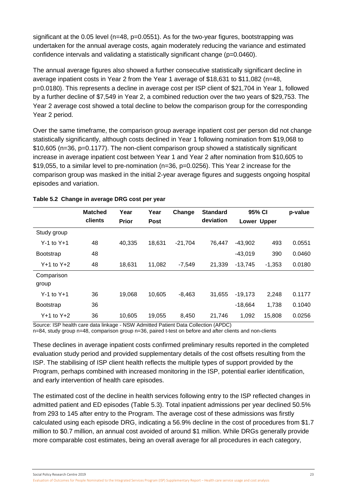significant at the 0.05 level (n=48, p=0.0551). As for the two-year figures, bootstrapping was undertaken for the annual average costs, again moderately reducing the variance and estimated confidence intervals and validating a statistically significant change (p=0.0460).

The annual average figures also showed a further consecutive statistically significant decline in average inpatient costs in Year 2 from the Year 1 average of \$18,631 to \$11,082 (n=48, p=0.0180). This represents a decline in average cost per ISP client of \$21,704 in Year 1, followed by a further decline of \$7,549 in Year 2, a combined reduction over the two years of \$29,753. The Year 2 average cost showed a total decline to below the comparison group for the corresponding Year 2 period.

Over the same timeframe, the comparison group average inpatient cost per person did not change statistically significantly, although costs declined in Year 1 following nomination from \$19,068 to \$10,605 (n=36, p=0.1177). The non-client comparison group showed a statistically significant increase in average inpatient cost between Year 1 and Year 2 after nomination from \$10,605 to \$19,055, to a similar level to pre-nomination (n=36, p=0.0256). This Year 2 increase for the comparison group was masked in the initial 2-year average figures and suggests ongoing hospital episodes and variation.

|                     | <b>Matched</b><br>clients | Year<br><b>Prior</b> | Year<br><b>Post</b> | Change    | <b>Standard</b><br>deviation | 95% CI<br><b>Lower Upper</b> |          | p-value |
|---------------------|---------------------------|----------------------|---------------------|-----------|------------------------------|------------------------------|----------|---------|
| Study group         |                           |                      |                     |           |                              |                              |          |         |
| $Y-1$ to $Y+1$      | 48                        | 40,335               | 18,631              | $-21,704$ | 76,447                       | $-43,902$                    | 493      | 0.0551  |
| <b>Bootstrap</b>    | 48                        |                      |                     |           |                              | $-43,019$                    | 390      | 0.0460  |
| $Y+1$ to $Y+2$      | 48                        | 18.631               | 11,082              | $-7.549$  | 21,339                       | $-13,745$                    | $-1,353$ | 0.0180  |
| Comparison<br>group |                           |                      |                     |           |                              |                              |          |         |
| $Y-1$ to $Y+1$      | 36                        | 19,068               | 10,605              | $-8.463$  | 31,655                       | $-19,173$                    | 2,248    | 0.1177  |
| <b>Bootstrap</b>    | 36                        |                      |                     |           |                              | $-18,664$                    | 1,738    | 0.1040  |
| $Y+1$ to $Y+2$      | 36                        | 10,605               | 19,055              | 8,450     | 21,746                       | 1,092                        | 15,808   | 0.0256  |

### <span id="page-28-0"></span>**Table 5.2 Change in average DRG cost per year**

Source: ISP health care data linkage - NSW Admitted Patient Data Collection (APDC) n=84, study group n=48, comparison group n=36, paired t-test on before and after clients and non-clients

These declines in average inpatient costs confirmed preliminary results reported in the completed evaluation study period and provided supplementary details of the cost offsets resulting from the ISP. The stabilising of ISP client health reflects the multiple types of support provided by the Program, perhaps combined with increased monitoring in the ISP, potential earlier identification, and early intervention of health care episodes.

The estimated cost of the decline in health services following entry to the ISP reflected changes in admitted patient and ED episodes (Table 5.3). Total inpatient admissions per year declined 50.5% from 293 to 145 after entry to the Program. The average cost of these admissions was firstly calculated using each episode DRG, indicating a 56.9% decline in the cost of procedures from \$1.7 million to \$0.7 million, an annual cost avoided of around \$1 million. While DRGs generally provide more comparable cost estimates, being an overall average for all procedures in each category,

Social Policy Research Centre 2019 23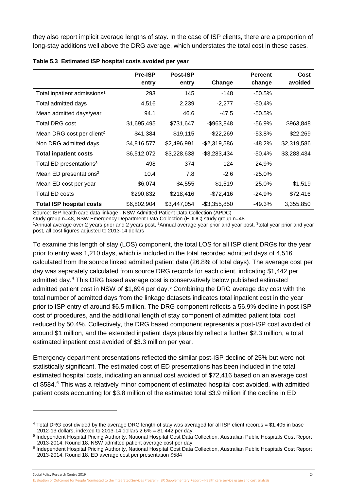they also report implicit average lengths of stay. In the case of ISP clients, there are a proportion of long-stay additions well above the DRG average, which understates the total cost in these cases.

|                                         | <b>Pre-ISP</b> | <b>Post-ISP</b> |                 | <b>Percent</b> | Cost        |
|-----------------------------------------|----------------|-----------------|-----------------|----------------|-------------|
|                                         | entry          | entry           | Change          | change         | avoided     |
| Total inpatient admissions <sup>1</sup> | 293            | 145             | $-148$          | $-50.5\%$      |             |
| Total admitted days                     | 4,516          | 2,239           | $-2,277$        | $-50.4\%$      |             |
| Mean admitted days/year                 | 94.1           | 46.6            | $-47.5$         | -50.5%         |             |
| <b>Total DRG cost</b>                   | \$1,695,495    | \$731,647       | $-$963,848$     | $-56.9\%$      | \$963,848   |
| Mean DRG cost per client <sup>2</sup>   | \$41,384       | \$19,115        | $-$ \$22,269    | -53.8%         | \$22,269    |
| Non DRG admitted days                   | \$4,816,577    | \$2,496,991     | $-$ \$2,319,586 | -48.2%         | \$2,319,586 |
| <b>Total inpatient costs</b>            | \$6,512,072    | \$3,228,638     | $-$3,283,434$   | $-50.4\%$      | \$3,283,434 |
| Total ED presentations <sup>3</sup>     | 498            | 374             | $-124$          | $-24.9%$       |             |
| Mean ED presentations <sup>2</sup>      | 10.4           | 7.8             | $-2.6$          | $-25.0\%$      |             |
| Mean ED cost per year                   | \$6,074        | \$4,555         | $-$1,519$       | $-25.0\%$      | \$1,519     |
| Total ED costs                          | \$290,832      | \$218,416       | $-$72,416$      | $-24.9%$       | \$72,416    |
| <b>Total ISP hospital costs</b>         | \$6,802,904    | \$3,447,054     | $-$ \$3,355,850 | -49.3%         | 3,355,850   |

<span id="page-29-0"></span>

|  | Table 5.3 Estimated ISP hospital costs avoided per year |  |  |  |  |  |  |
|--|---------------------------------------------------------|--|--|--|--|--|--|
|--|---------------------------------------------------------|--|--|--|--|--|--|

Source: ISP health care data linkage - NSW Admitted Patient Data Collection (APDC)

study group n=48, NSW Emergency Department Data Collection (EDDC) study group n=48

<sup>1</sup>Annual average over 2 years prior and 2 years post, <sup>2</sup>Annual average year prior and year post, <sup>3</sup>total year prior and year post, all cost figures adjusted to 2013-14 dollars

To examine this length of stay (LOS) component, the total LOS for all ISP client DRGs for the year prior to entry was 1,210 days, which is included in the total recorded admitted days of 4,516 calculated from the source linked admitted patient data (26.8% of total days). The average cost per day was separately calculated from source DRG records for each client, indicating \$1,442 per admitted day.[4](#page-29-1) This DRG based average cost is conservatively below published estimated admitted patient cost in NSW of \$1,694 per day.<sup>[5](#page-29-2)</sup> Combining the DRG average day cost with the total number of admitted days from the linkage datasets indicates total inpatient cost in the year prior to ISP entry of around \$6.5 million. The DRG component reflects a 56.9% decline in post-ISP cost of procedures, and the additional length of stay component of admitted patient total cost reduced by 50.4%. Collectively, the DRG based component represents a post-ISP cost avoided of around \$1 million, and the extended inpatient days plausibly reflect a further \$2.3 million, a total estimated inpatient cost avoided of \$3.3 million per year.

Emergency department presentations reflected the similar post-ISP decline of 25% but were not statistically significant. The estimated cost of ED presentations has been included in the total estimated hospital costs, indicating an annual cost avoided of \$72,416 based on an average cost of \$584.<sup>[6](#page-29-3)</sup> This was a relatively minor component of estimated hospital cost avoided, with admitted patient costs accounting for \$3.8 million of the estimated total \$3.9 million if the decline in ED

Social Policy Research Centre 2019 24

-

<span id="page-29-1"></span><sup>4</sup> Total DRG cost divided by the average DRG length of stay was averaged for all ISP client records = \$1,405 in base 2012-13 dollars, indexed to 2013-14 dollars 2.6% = \$1,442 per day.

<span id="page-29-2"></span><sup>5</sup> Independent Hospital Pricing Authority, National Hospital Cost Data Collection, Australian Public Hospitals Cost Report 2013-2014, Round 18, NSW admitted patient average cost per day.

<span id="page-29-3"></span><sup>6</sup> Independent Hospital Pricing Authority, National Hospital Cost Data Collection, Australian Public Hospitals Cost Report 2013-2014, Round 18, ED average cost per presentation \$584

Evaluation of Outcomes for People Nominated to the Integrated Services Program (ISP) Supplementary Report – Health care service usage and cost analysis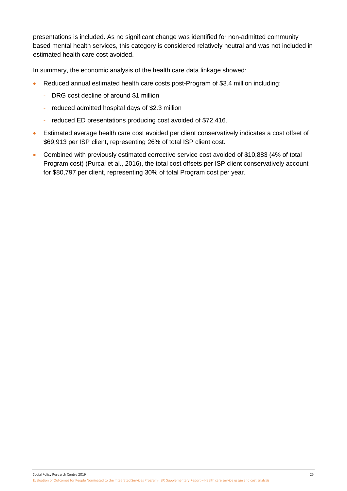presentations is included. As no significant change was identified for non-admitted community based mental health services, this category is considered relatively neutral and was not included in estimated health care cost avoided.

In summary, the economic analysis of the health care data linkage showed:

- Reduced annual estimated health care costs post-Program of \$3.4 million including:
	- DRG cost decline of around \$1 million
	- reduced admitted hospital days of \$2.3 million
	- reduced ED presentations producing cost avoided of \$72,416.
- Estimated average health care cost avoided per client conservatively indicates a cost offset of \$69,913 per ISP client, representing 26% of total ISP client cost.
- Combined with previously estimated corrective service cost avoided of \$10,883 (4% of total Program cost) (Purcal et al., 2016), the total cost offsets per ISP client conservatively account for \$80,797 per client, representing 30% of total Program cost per year.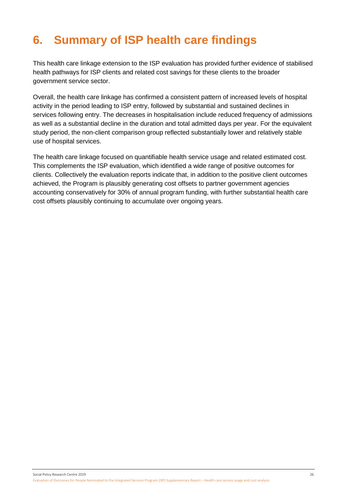# <span id="page-31-0"></span>**6. Summary of ISP health care findings**

This health care linkage extension to the ISP evaluation has provided further evidence of stabilised health pathways for ISP clients and related cost savings for these clients to the broader government service sector.

Overall, the health care linkage has confirmed a consistent pattern of increased levels of hospital activity in the period leading to ISP entry, followed by substantial and sustained declines in services following entry. The decreases in hospitalisation include reduced frequency of admissions as well as a substantial decline in the duration and total admitted days per year. For the equivalent study period, the non-client comparison group reflected substantially lower and relatively stable use of hospital services.

The health care linkage focused on quantifiable health service usage and related estimated cost. This complements the ISP evaluation, which identified a wide range of positive outcomes for clients. Collectively the evaluation reports indicate that, in addition to the positive client outcomes achieved, the Program is plausibly generating cost offsets to partner government agencies accounting conservatively for 30% of annual program funding, with further substantial health care cost offsets plausibly continuing to accumulate over ongoing years.

Social Policy Research Centre 2019 26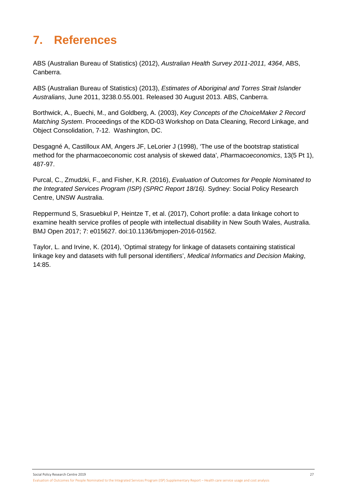# <span id="page-32-0"></span>**7. References**

ABS (Australian Bureau of Statistics) (2012), *Australian Health Survey 2011-2011, 4364*, ABS, Canberra.

ABS (Australian Bureau of Statistics) (2013), *Estimates of Aboriginal and Torres Strait Islander Australians*, June 2011, 3238.0.55.001. Released 30 August 2013. ABS, Canberra.

Borthwick, A., Buechi, M., and Goldberg, A. (2003), *Key Concepts of the ChoiceMaker 2 Record Matching System*. Proceedings of the KDD-03 Workshop on Data Cleaning, Record Linkage, and Object Consolidation, 7-12. Washington, DC.

Desgagné A, Castilloux AM, Angers JF, LeLorier J (1998), 'The use of the bootstrap statistical method for the pharmacoeconomic cost analysis of skewed data', *Pharmacoeconomics*, 13(5 Pt 1), 487-97.

Purcal, C., Zmudzki, F., and Fisher, K.R. (2016), *Evaluation of Outcomes for People Nominated to the Integrated Services Program (ISP) (SPRC Report 18/16).* Sydney: Social Policy Research Centre, UNSW Australia.

Reppermund S, Srasuebkul P, Heintze T, et al. (2017), Cohort profile: a data linkage cohort to examine health service profiles of people with intellectual disability in New South Wales, Australia. BMJ Open 2017; 7: e015627. doi:10.1136/bmjopen-2016-01562.

Taylor, L. and Irvine, K. (2014), 'Optimal strategy for linkage of datasets containing statistical linkage key and datasets with full personal identifiers', *Medical Informatics and Decision Making*, 14:85.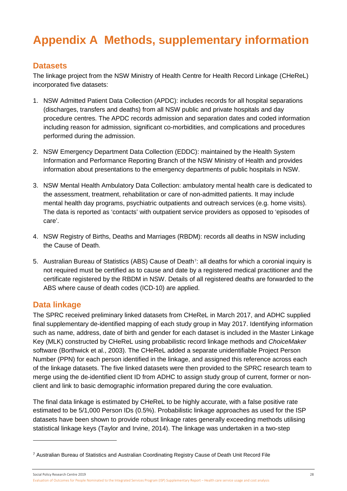# <span id="page-33-0"></span>**Appendix A Methods, supplementary information**

## **Datasets**

The linkage project from the NSW Ministry of Health Centre for Health Record Linkage (CHeReL) incorporated five datasets:

- 1. NSW Admitted Patient Data Collection (APDC): includes records for all hospital separations (discharges, transfers and deaths) from all NSW public and private hospitals and day procedure centres. The APDC records admission and separation dates and coded information including reason for admission, significant co-morbidities, and complications and procedures performed during the admission.
- 2. NSW Emergency Department Data Collection (EDDC): maintained by the Health System Information and Performance Reporting Branch of the NSW Ministry of Health and provides information about presentations to the emergency departments of public hospitals in NSW.
- 3. NSW Mental Health Ambulatory Data Collection: ambulatory mental health care is dedicated to the assessment, treatment, rehabilitation or care of non-admitted patients. It may include mental health day programs, psychiatric outpatients and outreach services (e.g. home visits). The data is reported as 'contacts' with outpatient service providers as opposed to 'episodes of care'.
- 4. NSW Registry of Births, Deaths and Marriages (RBDM): records all deaths in NSW including the Cause of Death.
- 5. Australian Bureau of Statistics (ABS) Cause of Death<sup>[7](#page-33-1)</sup>: all deaths for which a coronial inquiry is not required must be certified as to cause and date by a registered medical practitioner and the certificate registered by the RBDM in NSW. Details of all registered deaths are forwarded to the ABS where cause of death codes (ICD-10) are applied.

## **Data linkage**

-

The SPRC received preliminary linked datasets from CHeReL in March 2017, and ADHC supplied final supplementary de-identified mapping of each study group in May 2017. Identifying information such as name, address, date of birth and gender for each dataset is included in the Master Linkage Key (MLK) constructed by CHeReL using probabilistic record linkage methods and *ChoiceMaker* software (Borthwick et al., 2003). The CHeReL added a separate unidentifiable Project Person Number (PPN) for each person identified in the linkage, and assigned this reference across each of the linkage datasets. The five linked datasets were then provided to the SPRC research team to merge using the de-identified client ID from ADHC to assign study group of current, former or nonclient and link to basic demographic information prepared during the core evaluation.

The final data linkage is estimated by CHeReL to be highly accurate, with a false positive rate estimated to be 5/1,000 Person IDs (0.5%). Probabilistic linkage approaches as used for the ISP datasets have been shown to provide robust linkage rates generally exceeding methods utilising statistical linkage keys (Taylor and Irvine, 2014). The linkage was undertaken in a two-step

Social Policy Research Centre 2019 28

<span id="page-33-1"></span><sup>7</sup> Australian Bureau of Statistics and Australian Coordinating Registry Cause of Death Unit Record File

Evaluation of Outcomes for People Nominated to the Integrated Services Program (ISP) Supplementary Report – Health care service usage and cost analysis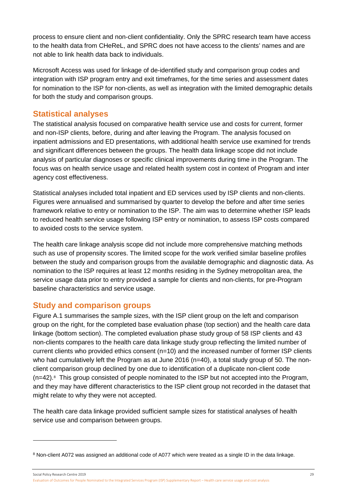process to ensure client and non-client confidentiality. Only the SPRC research team have access to the health data from CHeReL, and SPRC does not have access to the clients' names and are not able to link health data back to individuals.

Microsoft Access was used for linkage of de-identified study and comparison group codes and integration with ISP program entry and exit timeframes, for the time series and assessment dates for nomination to the ISP for non-clients, as well as integration with the limited demographic details for both the study and comparison groups.

## **Statistical analyses**

The statistical analysis focused on comparative health service use and costs for current, former and non-ISP clients, before, during and after leaving the Program. The analysis focused on inpatient admissions and ED presentations, with additional health service use examined for trends and significant differences between the groups. The health data linkage scope did not include analysis of particular diagnoses or specific clinical improvements during time in the Program. The focus was on health service usage and related health system cost in context of Program and inter agency cost effectiveness.

Statistical analyses included total inpatient and ED services used by ISP clients and non-clients. Figures were annualised and summarised by quarter to develop the before and after time series framework relative to entry or nomination to the ISP. The aim was to determine whether ISP leads to reduced health service usage following ISP entry or nomination, to assess ISP costs compared to avoided costs to the service system.

The health care linkage analysis scope did not include more comprehensive matching methods such as use of propensity scores. The limited scope for the work verified similar baseline profiles between the study and comparison groups from the available demographic and diagnostic data. As nomination to the ISP requires at least 12 months residing in the Sydney metropolitan area, the service usage data prior to entry provided a sample for clients and non-clients, for pre-Program baseline characteristics and service usage.

## **Study and comparison groups**

-

Figure A.1 summarises the sample sizes, with the ISP client group on the left and comparison group on the right, for the completed base evaluation phase (top section) and the health care data linkage (bottom section). The completed evaluation phase study group of 58 ISP clients and 43 non-clients compares to the health care data linkage study group reflecting the limited number of current clients who provided ethics consent (n=10) and the increased number of former ISP clients who had cumulatively left the Program as at June 2016 (n=40), a total study group of 50. The nonclient comparison group declined by one due to identification of a duplicate non-client code (n=42).[8](#page-34-0) This group consisted of people nominated to the ISP but not accepted into the Program, and they may have different characteristics to the ISP client group not recorded in the dataset that might relate to why they were not accepted.

The health care data linkage provided sufficient sample sizes for statistical analyses of health service use and comparison between groups.

Social Policy Research Centre 2019 29 Evaluation of Outcomes for People Nominated to the Integrated Services Program (ISP) Supplementary Report – Health care service usage and cost analysis

<span id="page-34-0"></span><sup>8</sup> Non-client A072 was assigned an additional code of A077 which were treated as a single ID in the data linkage.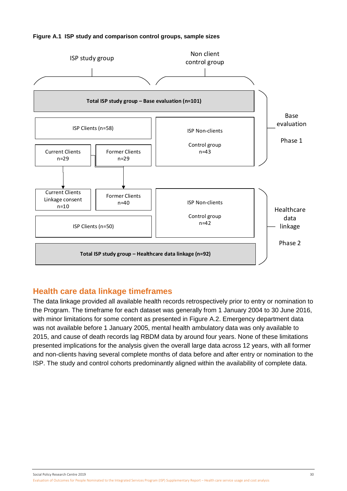<span id="page-35-0"></span>



## **Health care data linkage timeframes**

The data linkage provided all available health records retrospectively prior to entry or nomination to the Program. The timeframe for each dataset was generally from 1 January 2004 to 30 June 2016, with minor limitations for some content as presented in Figure A.2. Emergency department data was not available before 1 January 2005, mental health ambulatory data was only available to 2015, and cause of death records lag RBDM data by around four years. None of these limitations presented implications for the analysis given the overall large data across 12 years, with all former and non-clients having several complete months of data before and after entry or nomination to the ISP. The study and control cohorts predominantly aligned within the availability of complete data.

Social Policy Research Centre 2019 30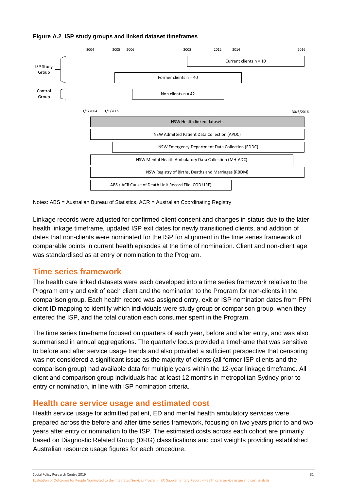

### <span id="page-36-0"></span>**Figure A.2 ISP study groups and linked dataset timeframes**

Notes: ABS = Australian Bureau of Statistics, ACR = Australian Coordinating Registry

Linkage records were adjusted for confirmed client consent and changes in status due to the later health linkage timeframe, updated ISP exit dates for newly transitioned clients, and addition of dates that non-clients were nominated for the ISP for alignment in the time series framework of comparable points in current health episodes at the time of nomination. Client and non-client age was standardised as at entry or nomination to the Program.

## **Time series framework**

The health care linked datasets were each developed into a time series framework relative to the Program entry and exit of each client and the nomination to the Program for non-clients in the comparison group. Each health record was assigned entry, exit or ISP nomination dates from PPN client ID mapping to identify which individuals were study group or comparison group, when they entered the ISP, and the total duration each consumer spent in the Program.

The time series timeframe focused on quarters of each year, before and after entry, and was also summarised in annual aggregations. The quarterly focus provided a timeframe that was sensitive to before and after service usage trends and also provided a sufficient perspective that censoring was not considered a significant issue as the majority of clients (all former ISP clients and the comparison group) had available data for multiple years within the 12-year linkage timeframe. All client and comparison group individuals had at least 12 months in metropolitan Sydney prior to entry or nomination, in line with ISP nomination criteria.

## **Health care service usage and estimated cost**

Health service usage for admitted patient, ED and mental health ambulatory services were prepared across the before and after time series framework, focusing on two years prior to and two years after entry or nomination to the ISP. The estimated costs across each cohort are primarily based on Diagnostic Related Group (DRG) classifications and cost weights providing established Australian resource usage figures for each procedure.

Social Policy Research Centre 2019 31

Evaluation of Outcomes for People Nominated to the Integrated Services Program (ISP) Supplementary Report – Health care service usage and cost analysis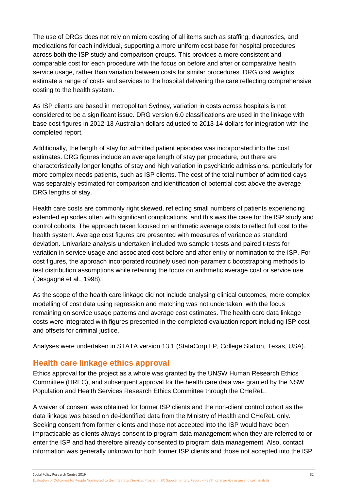The use of DRGs does not rely on micro costing of all items such as staffing, diagnostics, and medications for each individual, supporting a more uniform cost base for hospital procedures across both the ISP study and comparison groups. This provides a more consistent and comparable cost for each procedure with the focus on before and after or comparative health service usage, rather than variation between costs for similar procedures. DRG cost weights estimate a range of costs and services to the hospital delivering the care reflecting comprehensive costing to the health system.

As ISP clients are based in metropolitan Sydney, variation in costs across hospitals is not considered to be a significant issue. DRG version 6.0 classifications are used in the linkage with base cost figures in 2012-13 Australian dollars adjusted to 2013-14 dollars for integration with the completed report.

Additionally, the length of stay for admitted patient episodes was incorporated into the cost estimates. DRG figures include an average length of stay per procedure, but there are characteristically longer lengths of stay and high variation in psychiatric admissions, particularly for more complex needs patients, such as ISP clients. The cost of the total number of admitted days was separately estimated for comparison and identification of potential cost above the average DRG lengths of stay.

Health care costs are commonly right skewed, reflecting small numbers of patients experiencing extended episodes often with significant complications, and this was the case for the ISP study and control cohorts. The approach taken focused on arithmetic average costs to reflect full cost to the health system. Average cost figures are presented with measures of variance as standard deviation. Univariate analysis undertaken included two sample t-tests and paired t-tests for variation in service usage and associated cost before and after entry or nomination to the ISP. For cost figures, the approach incorporated routinely used non-parametric bootstrapping methods to test distribution assumptions while retaining the focus on arithmetic average cost or service use (Desgagné et al., 1998).

As the scope of the health care linkage did not include analysing clinical outcomes, more complex modelling of cost data using regression and matching was not undertaken, with the focus remaining on service usage patterns and average cost estimates. The health care data linkage costs were integrated with figures presented in the completed evaluation report including ISP cost and offsets for criminal justice.

Analyses were undertaken in STATA version 13.1 (StataCorp LP, College Station, Texas, USA).

## **Health care linkage ethics approval**

Ethics approval for the project as a whole was granted by the UNSW Human Research Ethics Committee (HREC), and subsequent approval for the health care data was granted by the NSW Population and Health Services Research Ethics Committee through the CHeReL.

A waiver of consent was obtained for former ISP clients and the non-client control cohort as the data linkage was based on de-identified data from the Ministry of Health and CHeReL only. Seeking consent from former clients and those not accepted into the ISP would have been impracticable as clients always consent to program data management when they are referred to or enter the ISP and had therefore already consented to program data management. Also, contact information was generally unknown for both former ISP clients and those not accepted into the ISP

Social Policy Research Centre 2019 32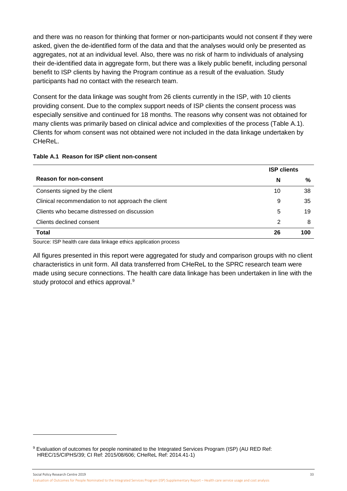and there was no reason for thinking that former or non-participants would not consent if they were asked, given the de-identified form of the data and that the analyses would only be presented as aggregates, not at an individual level. Also, there was no risk of harm to individuals of analysing their de-identified data in aggregate form, but there was a likely public benefit, including personal benefit to ISP clients by having the Program continue as a result of the evaluation. Study participants had no contact with the research team.

Consent for the data linkage was sought from 26 clients currently in the ISP, with 10 clients providing consent. Due to the complex support needs of ISP clients the consent process was especially sensitive and continued for 18 months. The reasons why consent was not obtained for many clients was primarily based on clinical advice and complexities of the process (Table A.1). Clients for whom consent was not obtained were not included in the data linkage undertaken by CHeReL.

### <span id="page-38-0"></span>**Table A.1 Reason for ISP client non-consent**

-

|                                                    | <b>ISP clients</b> |     |  |  |
|----------------------------------------------------|--------------------|-----|--|--|
| <b>Reason for non-consent</b>                      | N                  | %   |  |  |
| Consents signed by the client                      | 10                 | 38  |  |  |
| Clinical recommendation to not approach the client | 9                  | 35  |  |  |
| Clients who became distressed on discussion        | 5                  | 19  |  |  |
| Clients declined consent                           | 2                  | 8   |  |  |
| <b>Total</b>                                       | 26                 | 100 |  |  |

Source: ISP health care data linkage ethics application process

All figures presented in this report were aggregated for study and comparison groups with no client characteristics in unit form. All data transferred from CHeReL to the SPRC research team were made using secure connections. The health care data linkage has been undertaken in line with the study protocol and ethics approval.<sup>[9](#page-38-1)</sup>

Social Policy Research Centre 2019 33 Evaluation of Outcomes for People Nominated to the Integrated Services Program (ISP) Supplementary Report – Health care service usage and cost analysis

<span id="page-38-1"></span><sup>9</sup> Evaluation of outcomes for people nominated to the Integrated Services Program (ISP) (AU RED Ref: HREC/15/CIPHS/39; CI Ref: 2015/08/606; CHeReL Ref: 2014.41-1)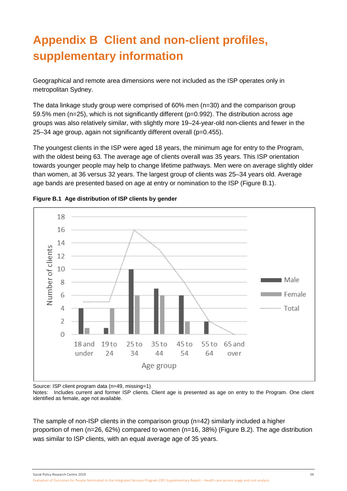# <span id="page-39-0"></span>**Appendix B Client and non-client profiles, supplementary information**

Geographical and remote area dimensions were not included as the ISP operates only in metropolitan Sydney.

The data linkage study group were comprised of 60% men (n=30) and the comparison group 59.5% men (n=25), which is not significantly different (p=0.992). The distribution across age groups was also relatively similar, with slightly more 19–24-year-old non-clients and fewer in the 25–34 age group, again not significantly different overall (p=0.455).

The youngest clients in the ISP were aged 18 years, the minimum age for entry to the Program, with the oldest being 63. The average age of clients overall was 35 years. This ISP orientation towards younger people may help to change lifetime pathways. Men were on average slightly older than women, at 36 versus 32 years. The largest group of clients was 25–34 years old. Average age bands are presented based on age at entry or nomination to the ISP (Figure B.1).



<span id="page-39-1"></span>

Source: ISP client program data (n=49, missing=1)

Notes: Includes current and former ISP clients. Client age is presented as age on entry to the Program. One client identified as female, age not available.

The sample of non-ISP clients in the comparison group (n=42) similarly included a higher proportion of men (n=26, 62%) compared to women (n=16, 38%) [\(Figure B.2\)](#page-39-2). The age distribution was similar to ISP clients, with an equal average age of 35 years.

<span id="page-39-2"></span>Social Policy Research Centre 2019 34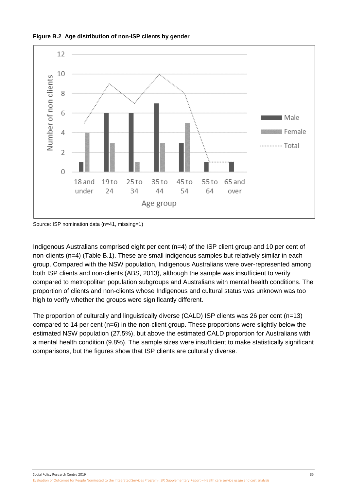<span id="page-40-0"></span>



Source: ISP nomination data (n=41, missing=1)

Indigenous Australians comprised eight per cent (n=4) of the ISP client group and 10 per cent of non-clients (n=4) (Table B.1). These are small indigenous samples but relatively similar in each group. Compared with the NSW population, Indigenous Australians were over-represented among both ISP clients and non-clients (ABS, 2013), although the sample was insufficient to verify compared to metropolitan population subgroups and Australians with mental health conditions. The proportion of clients and non-clients whose Indigenous and cultural status was unknown was too high to verify whether the groups were significantly different.

The proportion of culturally and linguistically diverse (CALD) ISP clients was 26 per cent (n=13) compared to 14 per cent (n=6) in the non-client group. These proportions were slightly below the estimated NSW population (27.5%), but above the estimated CALD proportion for Australians with a mental health condition (9.8%). The sample sizes were insufficient to make statistically significant comparisons, but the figures show that ISP clients are culturally diverse.

Social Policy Research Centre 2019 35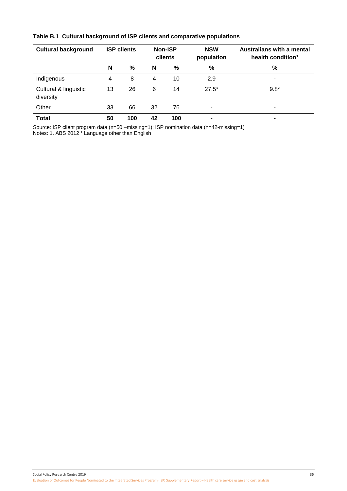| <b>Cultural background</b>         |    | <b>ISP clients</b> | Non-ISP<br>clients |     | <b>NSW</b><br>population | <b>Australians with a mental</b><br>health condition <sup>1</sup> |
|------------------------------------|----|--------------------|--------------------|-----|--------------------------|-------------------------------------------------------------------|
|                                    | N  | %                  | N                  | %   | %                        | %                                                                 |
| Indigenous                         | 4  | 8                  | 4                  | 10  | 2.9                      | ۰                                                                 |
| Cultural & linguistic<br>diversity | 13 | 26                 | 6                  | 14  | $27.5*$                  | $9.8*$                                                            |
| Other                              | 33 | 66                 | 32                 | 76  | ٠                        | $\blacksquare$                                                    |
| <b>Total</b>                       | 50 | 100                | 42                 | 100 | $\blacksquare$           | ۰                                                                 |

### <span id="page-41-0"></span>**Table B.1 Cultural background of ISP clients and comparative populations**

Source: ISP client program data (n=50 –missing=1); ISP nomination data (n=42-missing=1) Notes: 1. ABS 2012 \* Language other than English